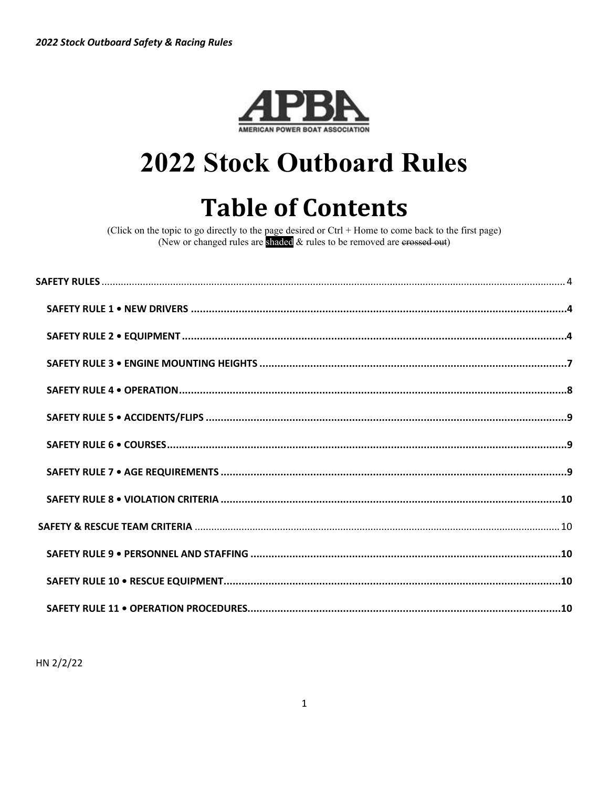

# **2022 Stock Outboard Rules**

# **Table of Contents**

(Click on the topic to go directly to the page desired or Ctrl + Home to come back to the first page)<br>(New or changed rules are shaded  $\&$  rules to be removed are erossed out)

HN 2/2/22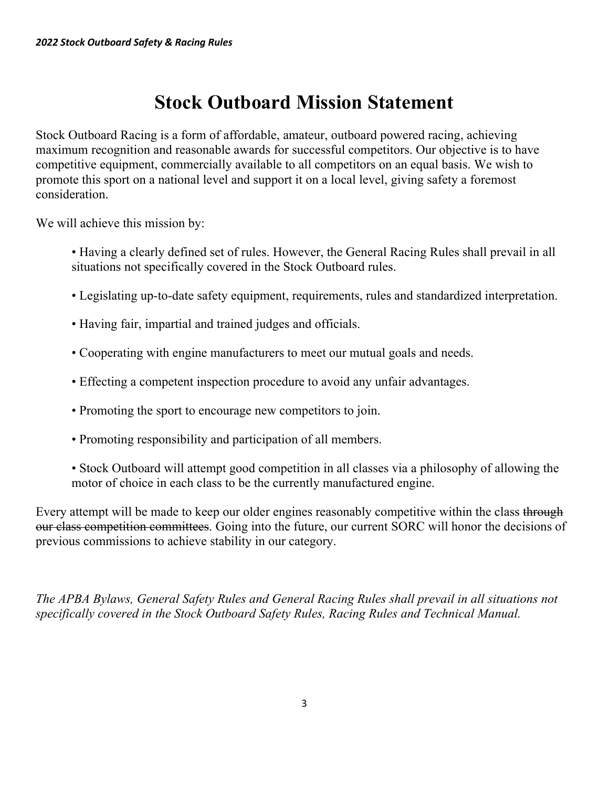# **Stock Outboard Mission Statement**

Stock Outboard Racing is a form of affordable, amateur, outboard powered racing, achieving maximum recognition and reasonable awards for successful competitors. Our objective is to have competitive equipment, commercially available to all competitors on an equal basis. We wish to promote this sport on a national level and support it on a local level, giving safety a foremost consideration.

We will achieve this mission by:

- Having a clearly defined set of rules. However, the General Racing Rules shall prevail in all situations not specifically covered in the Stock Outboard rules.
- Legislating up-to-date safety equipment, requirements, rules and standardized interpretation.
- Having fair, impartial and trained judges and officials.
- Cooperating with engine manufacturers to meet our mutual goals and needs.
- Effecting a competent inspection procedure to avoid any unfair advantages.
- Promoting the sport to encourage new competitors to join.
- Promoting responsibility and participation of all members.
- Stock Outboard will attempt good competition in all classes via a philosophy of allowing the motor of choice in each class to be the currently manufactured engine.

Every attempt will be made to keep our older engines reasonably competitive within the class through our class competition committees. Going into the future, our current SORC will honor the decisions of previous commissions to achieve stability in our category.

*The APBA Bylaws, General Safety Rules and General Racing Rules shall prevail in all situations not specifically covered in the Stock Outboard Safety Rules, Racing Rules and Technical Manual.*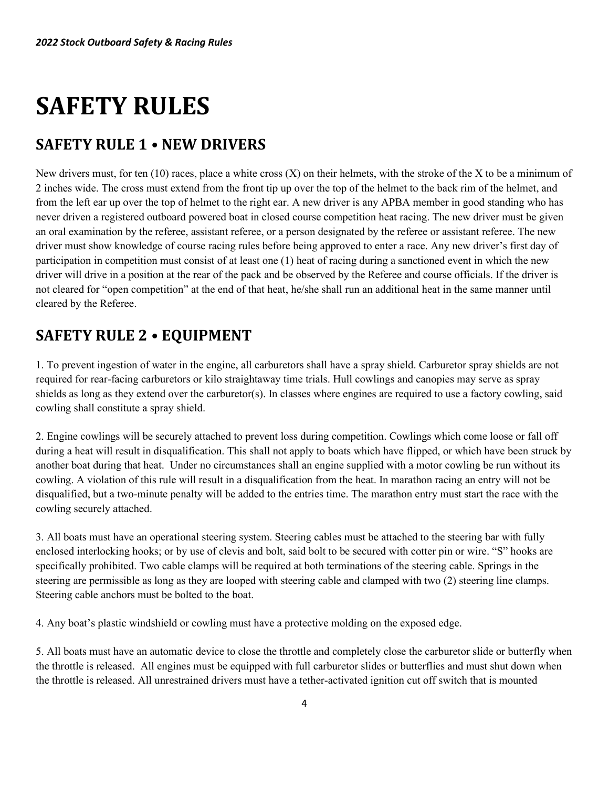# <span id="page-3-0"></span>**SAFETY RULES**

# <span id="page-3-1"></span>**SAFETY RULE 1 • NEW DRIVERS**

New drivers must, for ten  $(10)$  races, place a white cross  $(X)$  on their helmets, with the stroke of the X to be a minimum of 2 inches wide. The cross must extend from the front tip up over the top of the helmet to the back rim of the helmet, and from the left ear up over the top of helmet to the right ear. A new driver is any APBA member in good standing who has never driven a registered outboard powered boat in closed course competition heat racing. The new driver must be given an oral examination by the referee, assistant referee, or a person designated by the referee or assistant referee. The new driver must show knowledge of course racing rules before being approved to enter a race. Any new driver's first day of participation in competition must consist of at least one (1) heat of racing during a sanctioned event in which the new driver will drive in a position at the rear of the pack and be observed by the Referee and course officials. If the driver is not cleared for "open competition" at the end of that heat, he/she shall run an additional heat in the same manner until cleared by the Referee.

# <span id="page-3-2"></span>**SAFETY RULE 2 • EQUIPMENT**

1. To prevent ingestion of water in the engine, all carburetors shall have a spray shield. Carburetor spray shields are not required for rear-facing carburetors or kilo straightaway time trials. Hull cowlings and canopies may serve as spray shields as long as they extend over the carburetor(s). In classes where engines are required to use a factory cowling, said cowling shall constitute a spray shield.

2. Engine cowlings will be securely attached to prevent loss during competition. Cowlings which come loose or fall off during a heat will result in disqualification. This shall not apply to boats which have flipped, or which have been struck by another boat during that heat. Under no circumstances shall an engine supplied with a motor cowling be run without its cowling. A violation of this rule will result in a disqualification from the heat. In marathon racing an entry will not be disqualified, but a two-minute penalty will be added to the entries time. The marathon entry must start the race with the cowling securely attached.

3. All boats must have an operational steering system. Steering cables must be attached to the steering bar with fully enclosed interlocking hooks; or by use of clevis and bolt, said bolt to be secured with cotter pin or wire. "S" hooks are specifically prohibited. Two cable clamps will be required at both terminations of the steering cable. Springs in the steering are permissible as long as they are looped with steering cable and clamped with two (2) steering line clamps. Steering cable anchors must be bolted to the boat.

4. Any boat's plastic windshield or cowling must have a protective molding on the exposed edge.

5. All boats must have an automatic device to close the throttle and completely close the carburetor slide or butterfly when the throttle is released. All engines must be equipped with full carburetor slides or butterflies and must shut down when the throttle is released. All unrestrained drivers must have a tether-activated ignition cut off switch that is mounted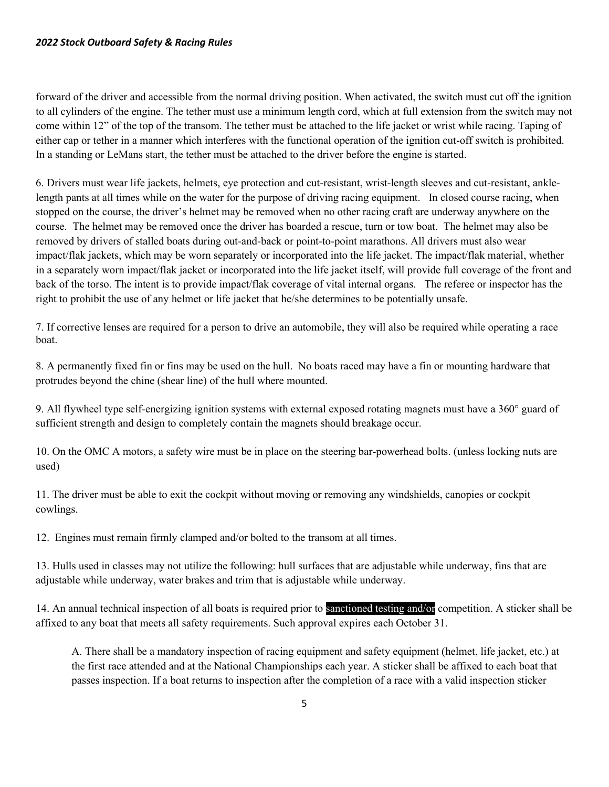#### *2022 Stock Outboard Safety & Racing Rules*

forward of the driver and accessible from the normal driving position. When activated, the switch must cut off the ignition to all cylinders of the engine. The tether must use a minimum length cord, which at full extension from the switch may not come within 12" of the top of the transom. The tether must be attached to the life jacket or wrist while racing. Taping of either cap or tether in a manner which interferes with the functional operation of the ignition cut-off switch is prohibited. In a standing or LeMans start, the tether must be attached to the driver before the engine is started.

6. Drivers must wear life jackets, helmets, eye protection and cut-resistant, wrist-length sleeves and cut-resistant, anklelength pants at all times while on the water for the purpose of driving racing equipment. In closed course racing, when stopped on the course, the driver's helmet may be removed when no other racing craft are underway anywhere on the course. The helmet may be removed once the driver has boarded a rescue, turn or tow boat. The helmet may also be removed by drivers of stalled boats during out-and-back or point-to-point marathons. All drivers must also wear impact/flak jackets, which may be worn separately or incorporated into the life jacket. The impact/flak material, whether in a separately worn impact/flak jacket or incorporated into the life jacket itself, will provide full coverage of the front and back of the torso. The intent is to provide impact/flak coverage of vital internal organs. The referee or inspector has the right to prohibit the use of any helmet or life jacket that he/she determines to be potentially unsafe.

7. If corrective lenses are required for a person to drive an automobile, they will also be required while operating a race boat.

8. A permanently fixed fin or fins may be used on the hull. No boats raced may have a fin or mounting hardware that protrudes beyond the chine (shear line) of the hull where mounted.

9. All flywheel type self-energizing ignition systems with external exposed rotating magnets must have a 360° guard of sufficient strength and design to completely contain the magnets should breakage occur.

10. On the OMC A motors, a safety wire must be in place on the steering bar-powerhead bolts. (unless locking nuts are used)

11. The driver must be able to exit the cockpit without moving or removing any windshields, canopies or cockpit cowlings.

12. Engines must remain firmly clamped and/or bolted to the transom at all times.

13. Hulls used in classes may not utilize the following: hull surfaces that are adjustable while underway, fins that are adjustable while underway, water brakes and trim that is adjustable while underway.

14. An annual technical inspection of all boats is required prior to sanctioned testing and/or competition. A sticker shall be affixed to any boat that meets all safety requirements. Such approval expires each October 31.

A. There shall be a mandatory inspection of racing equipment and safety equipment (helmet, life jacket, etc.) at the first race attended and at the National Championships each year. A sticker shall be affixed to each boat that passes inspection. If a boat returns to inspection after the completion of a race with a valid inspection sticker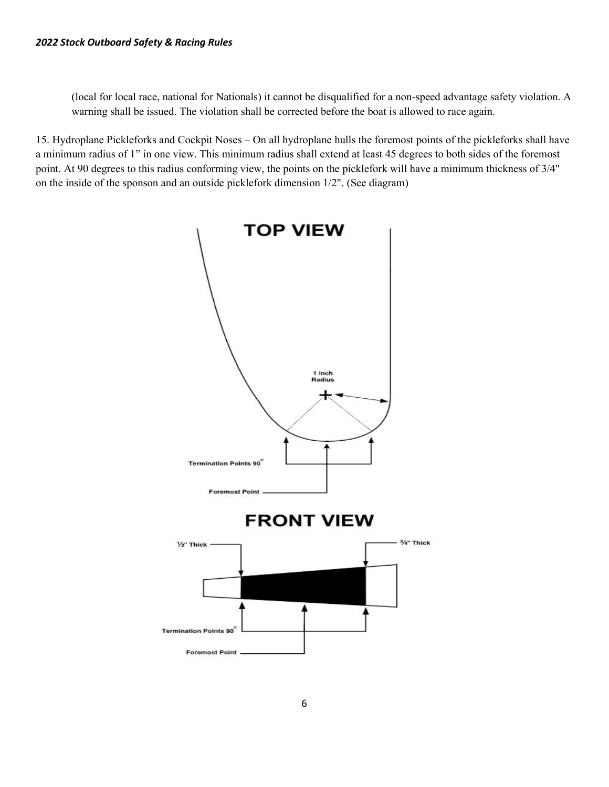(local for local race, national for Nationals) it cannot be disqualified for a non-speed advantage safety violation. A warning shall be issued. The violation shall be corrected before the boat is allowed to race again.

15. Hydroplane Pickleforks and Cockpit Noses – On all hydroplane hulls the foremost points of the pickleforks shall have a minimum radius of 1" in one view. This minimum radius shall extend at least 45 degrees to both sides of the foremost point. At 90 degrees to this radius conforming view, the points on the picklefork will have a minimum thickness of 3/4" on the inside of the sponson and an outside picklefork dimension 1/2". (See diagram)

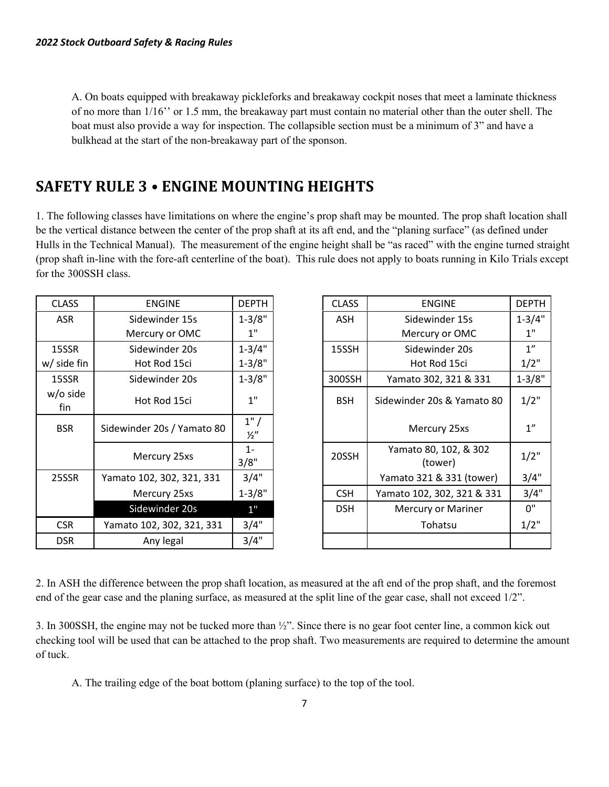A. On boats equipped with breakaway pickleforks and breakaway cockpit noses that meet a laminate thickness of no more than 1/16'' or 1.5 mm, the breakaway part must contain no material other than the outer shell. The boat must also provide a way for inspection. The collapsible section must be a minimum of 3" and have a bulkhead at the start of the non-breakaway part of the sponson.

### <span id="page-6-0"></span>**SAFETY RULE 3 • ENGINE MOUNTING HEIGHTS**

1. The following classes have limitations on where the engine's prop shaft may be mounted. The prop shaft location shall be the vertical distance between the center of the prop shaft at its aft end, and the "planing surface" (as defined under Hulls in the Technical Manual). The measurement of the engine height shall be "as raced" with the engine turned straight (prop shaft in-line with the fore-aft centerline of the boat). This rule does not apply to boats running in Kilo Trials except for the 300SSH class.

| <b>CLASS</b>    | <b>ENGINE</b>              | <b>DEPTH</b>        | <b>CLASS</b> | <b>ENGINE</b>                    | <b>DEPTI</b>       |
|-----------------|----------------------------|---------------------|--------------|----------------------------------|--------------------|
| <b>ASR</b>      | Sidewinder 15s             | $1 - 3/8"$          | ASH          | Sidewinder 15s                   | $1 - 3/4$          |
|                 | Mercury or OMC             | 1"                  |              | Mercury or OMC                   | 1"                 |
| 15SSR           | Sidewinder 20s             | $1 - 3/4"$          | 15SSH        | Sidewinder 20s                   | $1^{\prime\prime}$ |
| w/ side fin     | Hot Rod 15ci               | $1 - 3/8"$          |              | Hot Rod 15ci                     | $1/2$ "            |
| 15SSR           | Sidewinder 20s             | $1 - 3/8"$          | 300SSH       | Yamato 302, 321 & 331            | $1 - 3/8$          |
| w/o side<br>fin | Hot Rod 15ci               | 1"                  | <b>BSH</b>   | Sidewinder 20s & Yamato 80       | $1/2$ "            |
| <b>BSR</b>      | Sidewinder 20s / Yamato 80 | 1"<br>$\frac{1}{2}$ |              | Mercury 25xs                     | 1"                 |
|                 | Mercury 25xs               | $1 -$<br>3/8"       | 20SSH        | Yamato 80, 102, & 302<br>(tower) | $1/2$ "            |
| 25SSR           | Yamato 102, 302, 321, 331  | 3/4"                |              | Yamato 321 & 331 (tower)         | 3/4"               |
|                 | Mercury 25xs               | $1 - 3/8"$          | <b>CSH</b>   | Yamato 102, 302, 321 & 331       | 3/4'               |
|                 | Sidewinder 20s             | 1"                  | <b>DSH</b>   | Mercury or Mariner               | 0"                 |
| <b>CSR</b>      | Yamato 102, 302, 321, 331  | 3/4"                |              | Tohatsu                          | $1/2$ "            |
| <b>DSR</b>      | Any legal                  | 3/4"                |              |                                  |                    |

| <b>CLASS</b>    | <b>ENGINE</b>              | <b>DEPTH</b>            | <b>CLASS</b> | <b>ENGINE</b>                    | <b>DEPTH</b>    |
|-----------------|----------------------------|-------------------------|--------------|----------------------------------|-----------------|
| ASR             | Sidewinder 15s             | $1 - 3/8"$              | <b>ASH</b>   | Sidewinder 15s                   | $1 - 3/4"$      |
|                 | Mercury or OMC             | 1"                      |              | Mercury or OMC                   | 1"              |
| 15SSR           | Sidewinder 20s             | $1 - 3/4"$              | 15SSH        | Sidewinder 20s                   | 1 <sup>''</sup> |
| side fin        | Hot Rod 15ci               | $1 - 3/8"$              |              | Hot Rod 15ci                     | $1/2$ "         |
| 15SSR           | Sidewinder 20s             | $1 - 3/8"$              | 300SSH       | Yamato 302, 321 & 331            | $1 - 3/8"$      |
| v/o side<br>fin | Hot Rod 15ci               | 1"                      | <b>BSH</b>   | Sidewinder 20s & Yamato 80       | $1/2$ "         |
| <b>BSR</b>      | Sidewinder 20s / Yamato 80 | $1"$ /<br>$\frac{1}{2}$ |              | Mercury 25xs                     | 1 <sup>''</sup> |
|                 | Mercury 25xs               | $1 -$<br>3/8"           | 20SSH        | Yamato 80, 102, & 302<br>(tower) | $1/2$ "         |
| 25SSR           | Yamato 102, 302, 321, 331  | 3/4"                    |              | Yamato 321 & 331 (tower)         | 3/4"            |
|                 | Mercury 25xs               | $1 - 3/8"$              | <b>CSH</b>   | Yamato 102, 302, 321 & 331       | 3/4"            |
|                 | Sidewinder 20s             | 1"                      | <b>DSH</b>   | <b>Mercury or Mariner</b>        | 0"              |
| <b>CSR</b>      | Yamato 102, 302, 321, 331  | 3/4"                    |              | Tohatsu                          | $1/2$ "         |
| <b>DSR</b>      | Any legal                  | 3/4"                    |              |                                  |                 |

2. In ASH the difference between the prop shaft location, as measured at the aft end of the prop shaft, and the foremost end of the gear case and the planing surface, as measured at the split line of the gear case, shall not exceed 1/2".

3. In 300SSH, the engine may not be tucked more than ½". Since there is no gear foot center line, a common kick out checking tool will be used that can be attached to the prop shaft. Two measurements are required to determine the amount of tuck.

A. The trailing edge of the boat bottom (planing surface) to the top of the tool.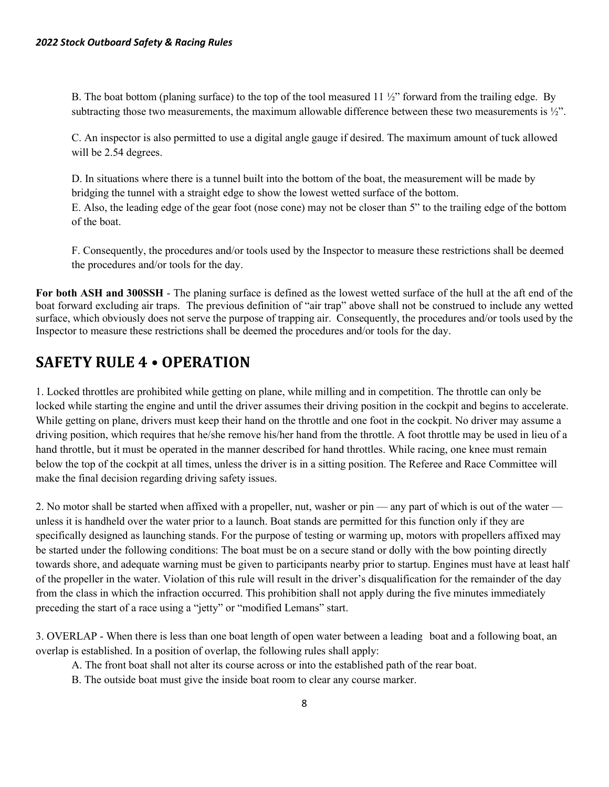B. The boat bottom (planing surface) to the top of the tool measured  $11 \frac{1}{2}$ " forward from the trailing edge. By subtracting those two measurements, the maximum allowable difference between these two measurements is  $\frac{1}{2}$ .

C. An inspector is also permitted to use a digital angle gauge if desired. The maximum amount of tuck allowed will be 2.54 degrees.

D. In situations where there is a tunnel built into the bottom of the boat, the measurement will be made by bridging the tunnel with a straight edge to show the lowest wetted surface of the bottom. E. Also, the leading edge of the gear foot (nose cone) may not be closer than 5" to the trailing edge of the bottom of the boat.

F. Consequently, the procedures and/or tools used by the Inspector to measure these restrictions shall be deemed the procedures and/or tools for the day.

**For both ASH and 300SSH** - The planing surface is defined as the lowest wetted surface of the hull at the aft end of the boat forward excluding air traps. The previous definition of "air trap" above shall not be construed to include any wetted surface, which obviously does not serve the purpose of trapping air. Consequently, the procedures and/or tools used by the Inspector to measure these restrictions shall be deemed the procedures and/or tools for the day.

## <span id="page-7-0"></span>**SAFETY RULE 4 • OPERATION**

1. Locked throttles are prohibited while getting on plane, while milling and in competition. The throttle can only be locked while starting the engine and until the driver assumes their driving position in the cockpit and begins to accelerate. While getting on plane, drivers must keep their hand on the throttle and one foot in the cockpit. No driver may assume a driving position, which requires that he/she remove his/her hand from the throttle. A foot throttle may be used in lieu of a hand throttle, but it must be operated in the manner described for hand throttles. While racing, one knee must remain below the top of the cockpit at all times, unless the driver is in a sitting position. The Referee and Race Committee will make the final decision regarding driving safety issues.

2. No motor shall be started when affixed with a propeller, nut, washer or pin — any part of which is out of the water unless it is handheld over the water prior to a launch. Boat stands are permitted for this function only if they are specifically designed as launching stands. For the purpose of testing or warming up, motors with propellers affixed may be started under the following conditions: The boat must be on a secure stand or dolly with the bow pointing directly towards shore, and adequate warning must be given to participants nearby prior to startup. Engines must have at least half of the propeller in the water. Violation of this rule will result in the driver's disqualification for the remainder of the day from the class in which the infraction occurred. This prohibition shall not apply during the five minutes immediately preceding the start of a race using a "jetty" or "modified Lemans" start.

3. OVERLAP - When there is less than one boat length of open water between a leading boat and a following boat, an overlap is established. In a position of overlap, the following rules shall apply:

- A. The front boat shall not alter its course across or into the established path of the rear boat.
- B. The outside boat must give the inside boat room to clear any course marker.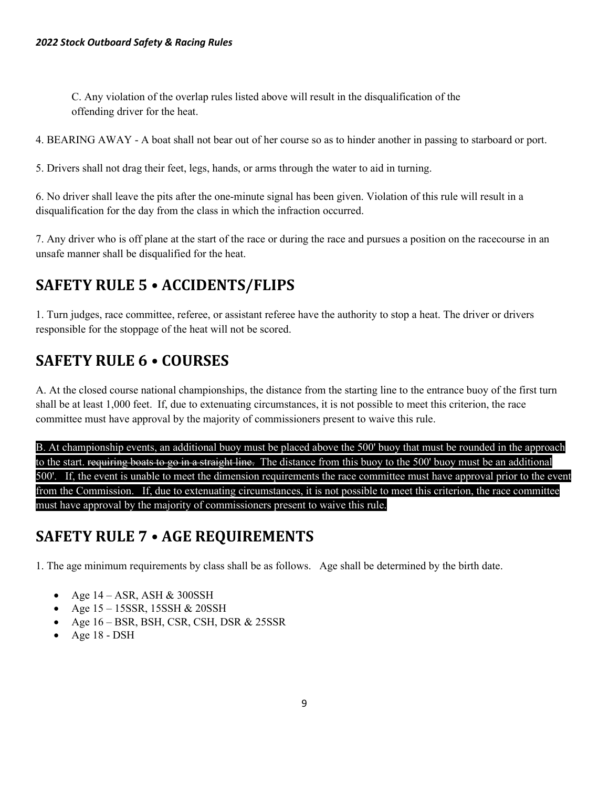C. Any violation of the overlap rules listed above will result in the disqualification of the offending driver for the heat.

4. BEARING AWAY - A boat shall not bear out of her course so as to hinder another in passing to starboard or port.

5. Drivers shall not drag their feet, legs, hands, or arms through the water to aid in turning.

6. No driver shall leave the pits after the one-minute signal has been given. Violation of this rule will result in a disqualification for the day from the class in which the infraction occurred.

7. Any driver who is off plane at the start of the race or during the race and pursues a position on the racecourse in an unsafe manner shall be disqualified for the heat.

## <span id="page-8-0"></span>**SAFETY RULE 5 • ACCIDENTS/FLIPS**

1. Turn judges, race committee, referee, or assistant referee have the authority to stop a heat. The driver or drivers responsible for the stoppage of the heat will not be scored.

# <span id="page-8-1"></span>**SAFETY RULE 6 • COURSES**

A. At the closed course national championships, the distance from the starting line to the entrance buoy of the first turn shall be at least 1,000 feet. If, due to extenuating circumstances, it is not possible to meet this criterion, the race committee must have approval by the majority of commissioners present to waive this rule.

B. At championship events, an additional buoy must be placed above the 500' buoy that must be rounded in the approach to the start. requiring boats to go in a straight line. The distance from this buoy to the 500' buoy must be an additional 500'. If, the event is unable to meet the dimension requirements the race committee must have approval prior to the event from the Commission. If, due to extenuating circumstances, it is not possible to meet this criterion, the race committee must have approval by the majority of commissioners present to waive this rule.

## <span id="page-8-2"></span>**SAFETY RULE 7 • AGE REQUIREMENTS**

1. The age minimum requirements by class shall be as follows. Age shall be determined by the birth date.

- Age  $14 ASR$ , ASH & 300SSH
- Age 15 15SSR, 15SSH & 20SSH
- Age 16 BSR, BSH, CSR, CSH, DSR & 25SSR
- Age 18 DSH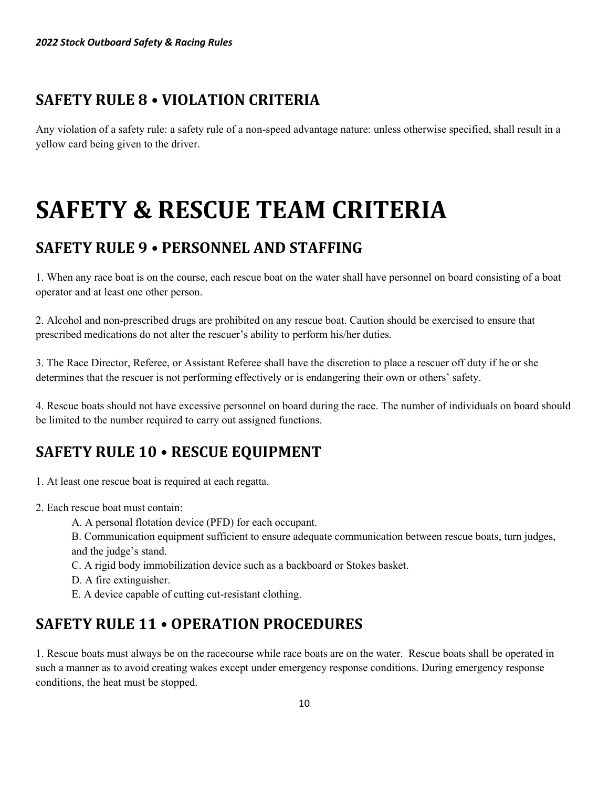# <span id="page-9-0"></span>**SAFETY RULE 8 • VIOLATION CRITERIA**

Any violation of a safety rule: a safety rule of a non-speed advantage nature: unless otherwise specified, shall result in a yellow card being given to the driver.

# <span id="page-9-1"></span>**SAFETY & RESCUE TEAM CRITERIA**

# <span id="page-9-2"></span>**SAFETY RULE 9 • PERSONNEL AND STAFFING**

1. When any race boat is on the course, each rescue boat on the water shall have personnel on board consisting of a boat operator and at least one other person.

2. Alcohol and non-prescribed drugs are prohibited on any rescue boat. Caution should be exercised to ensure that prescribed medications do not alter the rescuer's ability to perform his/her duties.

3. The Race Director, Referee, or Assistant Referee shall have the discretion to place a rescuer off duty if he or she determines that the rescuer is not performing effectively or is endangering their own or others' safety.

4. Rescue boats should not have excessive personnel on board during the race. The number of individuals on board should be limited to the number required to carry out assigned functions.

# <span id="page-9-3"></span>**SAFETY RULE 10 • RESCUE EQUIPMENT**

- 1. At least one rescue boat is required at each regatta.
- 2. Each rescue boat must contain:
	- A. A personal flotation device (PFD) for each occupant.
	- B. Communication equipment sufficient to ensure adequate communication between rescue boats, turn judges, and the judge's stand.
	- C. A rigid body immobilization device such as a backboard or Stokes basket.
	- D. A fire extinguisher.
	- E. A device capable of cutting cut-resistant clothing.

# <span id="page-9-4"></span>**SAFETY RULE 11 • OPERATION PROCEDURES**

1. Rescue boats must always be on the racecourse while race boats are on the water. Rescue boats shall be operated in such a manner as to avoid creating wakes except under emergency response conditions. During emergency response conditions, the heat must be stopped.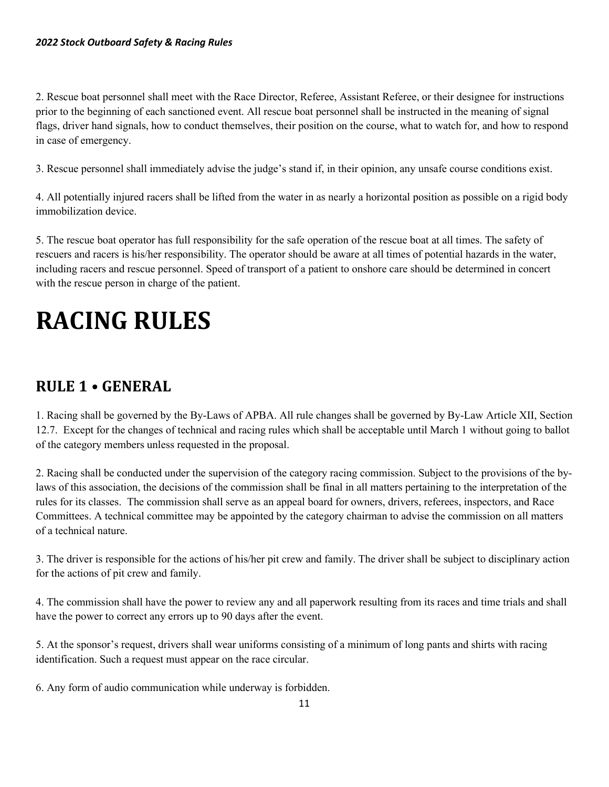2. Rescue boat personnel shall meet with the Race Director, Referee, Assistant Referee, or their designee for instructions prior to the beginning of each sanctioned event. All rescue boat personnel shall be instructed in the meaning of signal flags, driver hand signals, how to conduct themselves, their position on the course, what to watch for, and how to respond in case of emergency.

3. Rescue personnel shall immediately advise the judge's stand if, in their opinion, any unsafe course conditions exist.

4. All potentially injured racers shall be lifted from the water in as nearly a horizontal position as possible on a rigid body immobilization device.

5. The rescue boat operator has full responsibility for the safe operation of the rescue boat at all times. The safety of rescuers and racers is his/her responsibility. The operator should be aware at all times of potential hazards in the water, including racers and rescue personnel. Speed of transport of a patient to onshore care should be determined in concert with the rescue person in charge of the patient.

# <span id="page-10-0"></span>**RACING RULES**

## <span id="page-10-1"></span>**RULE 1 • GENERAL**

1. Racing shall be governed by the By-Laws of APBA. All rule changes shall be governed by By-Law Article XII, Section 12.7. Except for the changes of technical and racing rules which shall be acceptable until March 1 without going to ballot of the category members unless requested in the proposal.

2. Racing shall be conducted under the supervision of the category racing commission. Subject to the provisions of the bylaws of this association, the decisions of the commission shall be final in all matters pertaining to the interpretation of the rules for its classes. The commission shall serve as an appeal board for owners, drivers, referees, inspectors, and Race Committees. A technical committee may be appointed by the category chairman to advise the commission on all matters of a technical nature.

3. The driver is responsible for the actions of his/her pit crew and family. The driver shall be subject to disciplinary action for the actions of pit crew and family.

4. The commission shall have the power to review any and all paperwork resulting from its races and time trials and shall have the power to correct any errors up to 90 days after the event.

5. At the sponsor's request, drivers shall wear uniforms consisting of a minimum of long pants and shirts with racing identification. Such a request must appear on the race circular.

6. Any form of audio communication while underway is forbidden.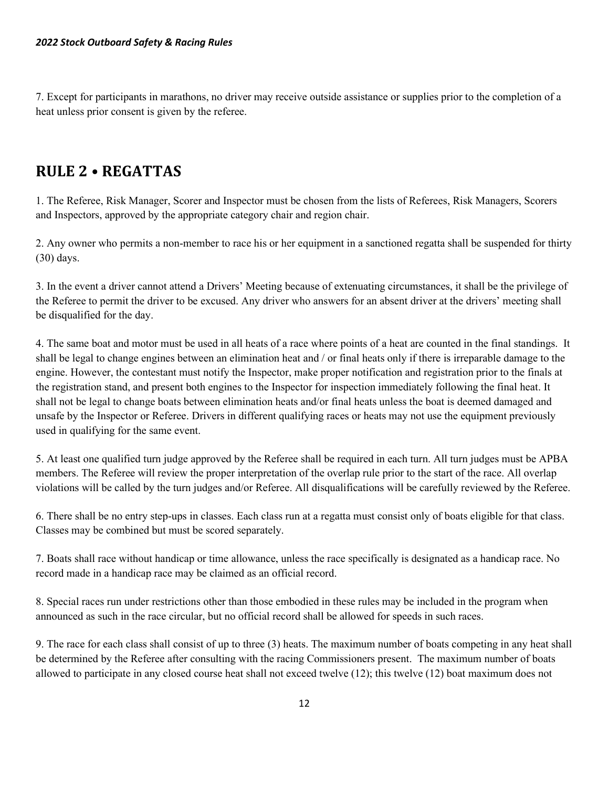7. Except for participants in marathons, no driver may receive outside assistance or supplies prior to the completion of a heat unless prior consent is given by the referee.

## <span id="page-11-0"></span>**RULE 2 • REGATTAS**

1. The Referee, Risk Manager, Scorer and Inspector must be chosen from the lists of Referees, Risk Managers, Scorers and Inspectors, approved by the appropriate category chair and region chair.

2. Any owner who permits a non-member to race his or her equipment in a sanctioned regatta shall be suspended for thirty (30) days.

3. In the event a driver cannot attend a Drivers' Meeting because of extenuating circumstances, it shall be the privilege of the Referee to permit the driver to be excused. Any driver who answers for an absent driver at the drivers' meeting shall be disqualified for the day.

4. The same boat and motor must be used in all heats of a race where points of a heat are counted in the final standings. It shall be legal to change engines between an elimination heat and / or final heats only if there is irreparable damage to the engine. However, the contestant must notify the Inspector, make proper notification and registration prior to the finals at the registration stand, and present both engines to the Inspector for inspection immediately following the final heat. It shall not be legal to change boats between elimination heats and/or final heats unless the boat is deemed damaged and unsafe by the Inspector or Referee. Drivers in different qualifying races or heats may not use the equipment previously used in qualifying for the same event.

5. At least one qualified turn judge approved by the Referee shall be required in each turn. All turn judges must be APBA members. The Referee will review the proper interpretation of the overlap rule prior to the start of the race. All overlap violations will be called by the turn judges and/or Referee. All disqualifications will be carefully reviewed by the Referee.

6. There shall be no entry step-ups in classes. Each class run at a regatta must consist only of boats eligible for that class. Classes may be combined but must be scored separately.

7. Boats shall race without handicap or time allowance, unless the race specifically is designated as a handicap race. No record made in a handicap race may be claimed as an official record.

8. Special races run under restrictions other than those embodied in these rules may be included in the program when announced as such in the race circular, but no official record shall be allowed for speeds in such races.

9. The race for each class shall consist of up to three (3) heats. The maximum number of boats competing in any heat shall be determined by the Referee after consulting with the racing Commissioners present. The maximum number of boats allowed to participate in any closed course heat shall not exceed twelve (12); this twelve (12) boat maximum does not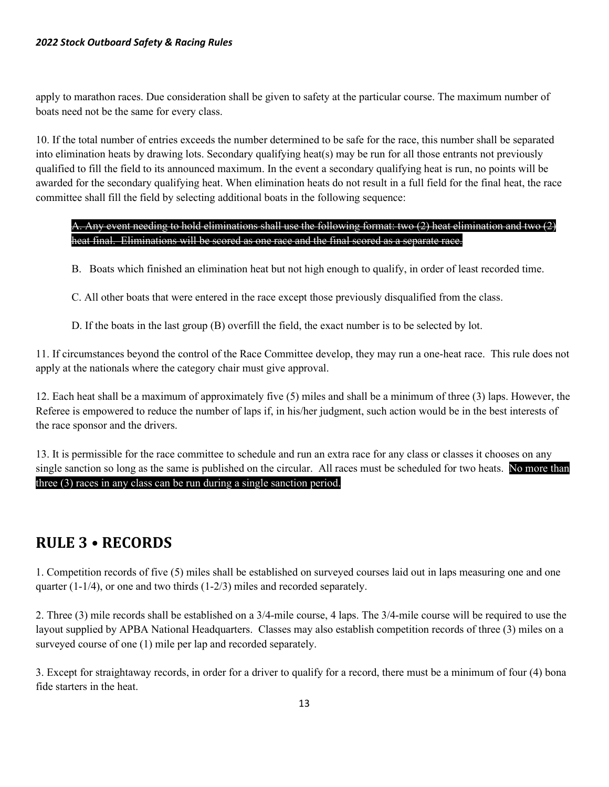apply to marathon races. Due consideration shall be given to safety at the particular course. The maximum number of boats need not be the same for every class.

10. If the total number of entries exceeds the number determined to be safe for the race, this number shall be separated into elimination heats by drawing lots. Secondary qualifying heat(s) may be run for all those entrants not previously qualified to fill the field to its announced maximum. In the event a secondary qualifying heat is run, no points will be awarded for the secondary qualifying heat. When elimination heats do not result in a full field for the final heat, the race committee shall fill the field by selecting additional boats in the following sequence:

A. Any event needing to hold eliminations shall use the following format: two (2) heat elimination and two (2) heat final. Eliminations will be scored as one race and the final scored as a separate race.

B. Boats which finished an elimination heat but not high enough to qualify, in order of least recorded time.

C. All other boats that were entered in the race except those previously disqualified from the class.

D. If the boats in the last group (B) overfill the field, the exact number is to be selected by lot.

11. If circumstances beyond the control of the Race Committee develop, they may run a one-heat race. This rule does not apply at the nationals where the category chair must give approval.

12. Each heat shall be a maximum of approximately five (5) miles and shall be a minimum of three (3) laps. However, the Referee is empowered to reduce the number of laps if, in his/her judgment, such action would be in the best interests of the race sponsor and the drivers.

13. It is permissible for the race committee to schedule and run an extra race for any class or classes it chooses on any single sanction so long as the same is published on the circular. All races must be scheduled for two heats. No more than three (3) races in any class can be run during a single sanction period.

## <span id="page-12-0"></span>**RULE 3 • RECORDS**

1. Competition records of five (5) miles shall be established on surveyed courses laid out in laps measuring one and one quarter (1-1/4), or one and two thirds (1-2/3) miles and recorded separately.

2. Three (3) mile records shall be established on a 3/4-mile course, 4 laps. The 3/4-mile course will be required to use the layout supplied by APBA National Headquarters. Classes may also establish competition records of three (3) miles on a surveyed course of one (1) mile per lap and recorded separately.

3. Except for straightaway records, in order for a driver to qualify for a record, there must be a minimum of four (4) bona fide starters in the heat.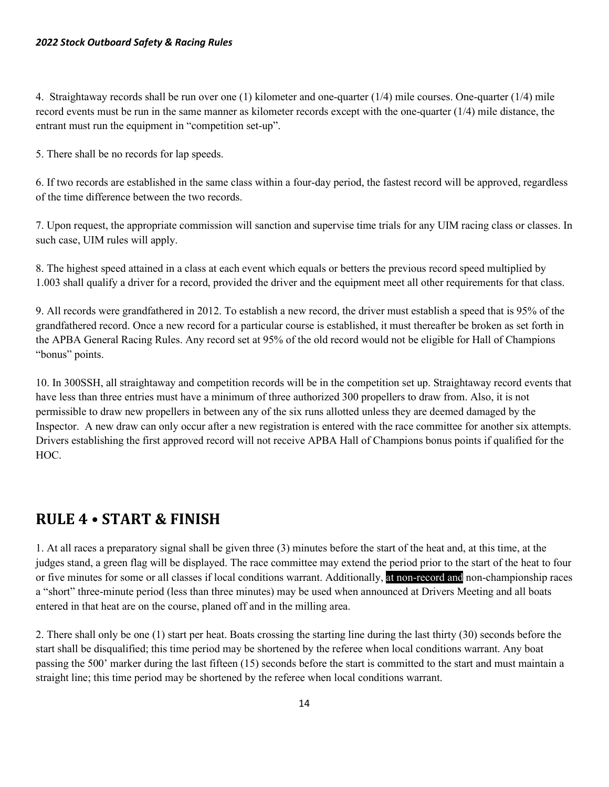4. Straightaway records shall be run over one (1) kilometer and one-quarter (1/4) mile courses. One-quarter (1/4) mile record events must be run in the same manner as kilometer records except with the one-quarter (1/4) mile distance, the entrant must run the equipment in "competition set-up".

5. There shall be no records for lap speeds.

6. If two records are established in the same class within a four-day period, the fastest record will be approved, regardless of the time difference between the two records.

7. Upon request, the appropriate commission will sanction and supervise time trials for any UIM racing class or classes. In such case, UIM rules will apply.

8. The highest speed attained in a class at each event which equals or betters the previous record speed multiplied by 1.003 shall qualify a driver for a record, provided the driver and the equipment meet all other requirements for that class.

9. All records were grandfathered in 2012. To establish a new record, the driver must establish a speed that is 95% of the grandfathered record. Once a new record for a particular course is established, it must thereafter be broken as set forth in the APBA General Racing Rules. Any record set at 95% of the old record would not be eligible for Hall of Champions "bonus" points.

10. In 300SSH, all straightaway and competition records will be in the competition set up. Straightaway record events that have less than three entries must have a minimum of three authorized 300 propellers to draw from. Also, it is not permissible to draw new propellers in between any of the six runs allotted unless they are deemed damaged by the Inspector. A new draw can only occur after a new registration is entered with the race committee for another six attempts. Drivers establishing the first approved record will not receive APBA Hall of Champions bonus points if qualified for the HOC.

### <span id="page-13-0"></span>**RULE 4 • START & FINISH**

1. At all races a preparatory signal shall be given three (3) minutes before the start of the heat and, at this time, at the judges stand, a green flag will be displayed. The race committee may extend the period prior to the start of the heat to four or five minutes for some or all classes if local conditions warrant. Additionally, at non-record and non-championship races a "short" three-minute period (less than three minutes) may be used when announced at Drivers Meeting and all boats entered in that heat are on the course, planed off and in the milling area.

2. There shall only be one (1) start per heat. Boats crossing the starting line during the last thirty (30) seconds before the start shall be disqualified; this time period may be shortened by the referee when local conditions warrant. Any boat passing the 500' marker during the last fifteen (15) seconds before the start is committed to the start and must maintain a straight line; this time period may be shortened by the referee when local conditions warrant.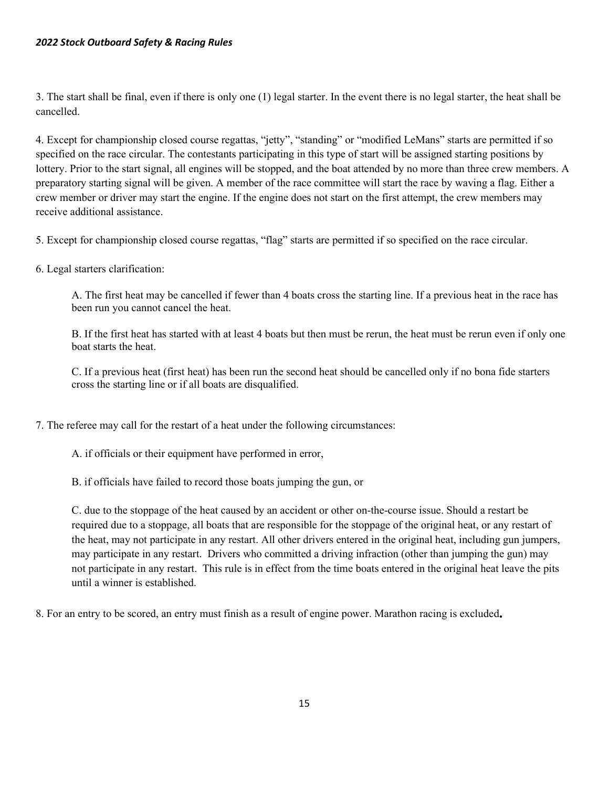#### *2022 Stock Outboard Safety & Racing Rules*

3. The start shall be final, even if there is only one (1) legal starter. In the event there is no legal starter, the heat shall be cancelled.

4. Except for championship closed course regattas, "jetty", "standing" or "modified LeMans" starts are permitted if so specified on the race circular. The contestants participating in this type of start will be assigned starting positions by lottery. Prior to the start signal, all engines will be stopped, and the boat attended by no more than three crew members. A preparatory starting signal will be given. A member of the race committee will start the race by waving a flag. Either a crew member or driver may start the engine. If the engine does not start on the first attempt, the crew members may receive additional assistance.

5. Except for championship closed course regattas, "flag" starts are permitted if so specified on the race circular.

6. Legal starters clarification:

A. The first heat may be cancelled if fewer than 4 boats cross the starting line. If a previous heat in the race has been run you cannot cancel the heat.

B. If the first heat has started with at least 4 boats but then must be rerun, the heat must be rerun even if only one boat starts the heat.

C. If a previous heat (first heat) has been run the second heat should be cancelled only if no bona fide starters cross the starting line or if all boats are disqualified.

7. The referee may call for the restart of a heat under the following circumstances:

A. if officials or their equipment have performed in error,

B. if officials have failed to record those boats jumping the gun, or

C. due to the stoppage of the heat caused by an accident or other on-the-course issue. Should a restart be required due to a stoppage, all boats that are responsible for the stoppage of the original heat, or any restart of the heat, may not participate in any restart. All other drivers entered in the original heat, including gun jumpers, may participate in any restart. Drivers who committed a driving infraction (other than jumping the gun) may not participate in any restart. This rule is in effect from the time boats entered in the original heat leave the pits until a winner is established.

8. For an entry to be scored, an entry must finish as a result of engine power. Marathon racing is excluded**.**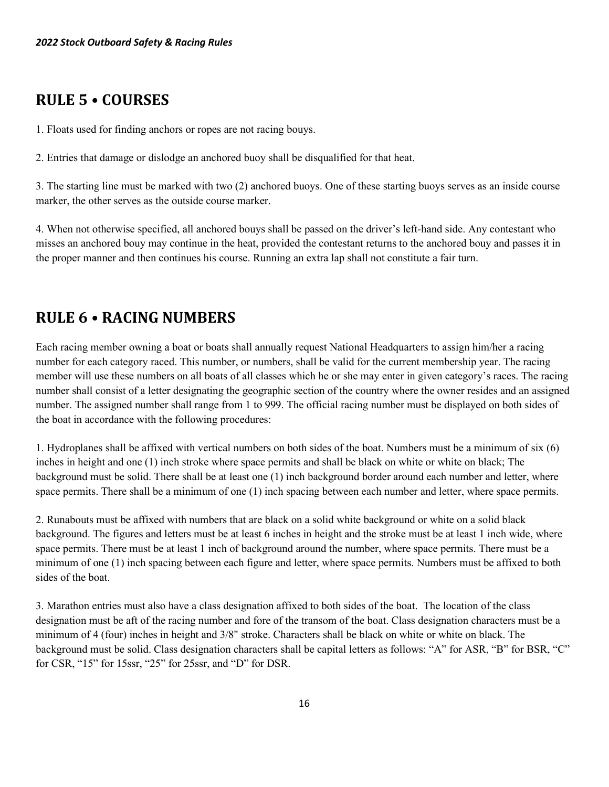# <span id="page-15-0"></span>**RULE 5 • COURSES**

1. Floats used for finding anchors or ropes are not racing bouys.

2. Entries that damage or dislodge an anchored buoy shall be disqualified for that heat.

3. The starting line must be marked with two (2) anchored buoys. One of these starting buoys serves as an inside course marker, the other serves as the outside course marker.

4. When not otherwise specified, all anchored bouys shall be passed on the driver's left-hand side. Any contestant who misses an anchored bouy may continue in the heat, provided the contestant returns to the anchored bouy and passes it in the proper manner and then continues his course. Running an extra lap shall not constitute a fair turn.

## <span id="page-15-1"></span>**RULE 6 • RACING NUMBERS**

Each racing member owning a boat or boats shall annually request National Headquarters to assign him/her a racing number for each category raced. This number, or numbers, shall be valid for the current membership year. The racing member will use these numbers on all boats of all classes which he or she may enter in given category's races. The racing number shall consist of a letter designating the geographic section of the country where the owner resides and an assigned number. The assigned number shall range from 1 to 999. The official racing number must be displayed on both sides of the boat in accordance with the following procedures:

1. Hydroplanes shall be affixed with vertical numbers on both sides of the boat. Numbers must be a minimum of six (6) inches in height and one (1) inch stroke where space permits and shall be black on white or white on black; The background must be solid. There shall be at least one (1) inch background border around each number and letter, where space permits. There shall be a minimum of one (1) inch spacing between each number and letter, where space permits.

2. Runabouts must be affixed with numbers that are black on a solid white background or white on a solid black background. The figures and letters must be at least 6 inches in height and the stroke must be at least 1 inch wide, where space permits. There must be at least 1 inch of background around the number, where space permits. There must be a minimum of one (1) inch spacing between each figure and letter, where space permits. Numbers must be affixed to both sides of the boat.

3. Marathon entries must also have a class designation affixed to both sides of the boat. The location of the class designation must be aft of the racing number and fore of the transom of the boat. Class designation characters must be a minimum of 4 (four) inches in height and 3/8" stroke. Characters shall be black on white or white on black. The background must be solid. Class designation characters shall be capital letters as follows: "A" for ASR, "B" for BSR, "C" for CSR, "15" for 15ssr, "25" for 25ssr, and "D" for DSR.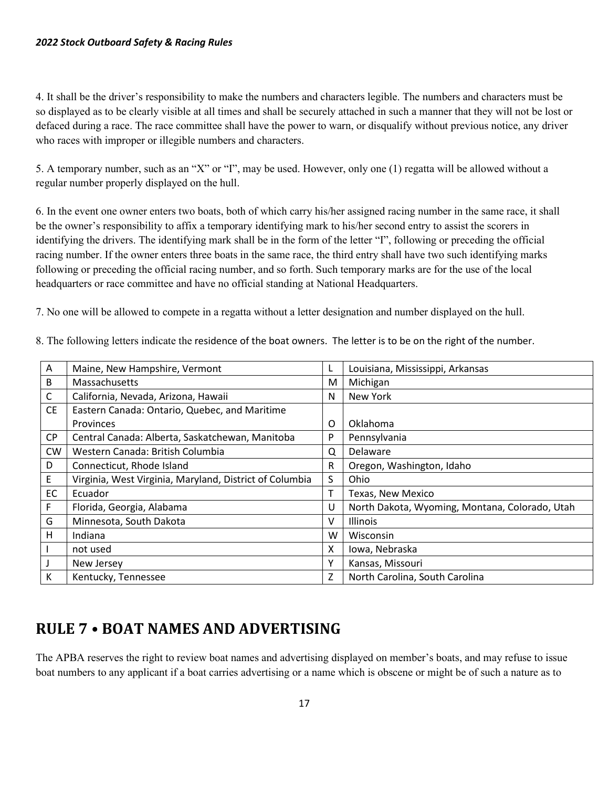#### *2022 Stock Outboard Safety & Racing Rules*

4. It shall be the driver's responsibility to make the numbers and characters legible. The numbers and characters must be so displayed as to be clearly visible at all times and shall be securely attached in such a manner that they will not be lost or defaced during a race. The race committee shall have the power to warn, or disqualify without previous notice, any driver who races with improper or illegible numbers and characters.

5. A temporary number, such as an "X" or "I", may be used. However, only one (1) regatta will be allowed without a regular number properly displayed on the hull.

6. In the event one owner enters two boats, both of which carry his/her assigned racing number in the same race, it shall be the owner's responsibility to affix a temporary identifying mark to his/her second entry to assist the scorers in identifying the drivers. The identifying mark shall be in the form of the letter "I", following or preceding the official racing number. If the owner enters three boats in the same race, the third entry shall have two such identifying marks following or preceding the official racing number, and so forth. Such temporary marks are for the use of the local headquarters or race committee and have no official standing at National Headquarters.

7. No one will be allowed to compete in a regatta without a letter designation and number displayed on the hull.

| $\mathsf{A}$ | Maine, New Hampshire, Vermont                           | L | Louisiana, Mississippi, Arkansas               |
|--------------|---------------------------------------------------------|---|------------------------------------------------|
| B            | Massachusetts                                           | M | Michigan                                       |
| C            | California, Nevada, Arizona, Hawaii                     | N | New York                                       |
| <b>CE</b>    | Eastern Canada: Ontario, Quebec, and Maritime           |   |                                                |
|              | Provinces                                               | O | Oklahoma                                       |
| <b>CP</b>    | Central Canada: Alberta, Saskatchewan, Manitoba         | P | Pennsylvania                                   |
| <b>CW</b>    | Western Canada: British Columbia                        | Q | Delaware                                       |
| D            | Connecticut, Rhode Island                               | R | Oregon, Washington, Idaho                      |
| E            | Virginia, West Virginia, Maryland, District of Columbia | S | Ohio                                           |
| EC           | Ecuador                                                 | т | Texas, New Mexico                              |
| F            | Florida, Georgia, Alabama                               | U | North Dakota, Wyoming, Montana, Colorado, Utah |
| G            | Minnesota, South Dakota                                 | ν | Illinois                                       |
| Н            | Indiana                                                 | W | Wisconsin                                      |
|              | not used                                                | X | Iowa, Nebraska                                 |
|              | New Jersey                                              | Υ | Kansas, Missouri                               |
| К            | Kentucky, Tennessee                                     | Z | North Carolina, South Carolina                 |

8. The following letters indicate the residence of the boat owners. The letter is to be on the right of the number.

## <span id="page-16-0"></span>**RULE 7 • BOAT NAMES AND ADVERTISING**

The APBA reserves the right to review boat names and advertising displayed on member's boats, and may refuse to issue boat numbers to any applicant if a boat carries advertising or a name which is obscene or might be of such a nature as to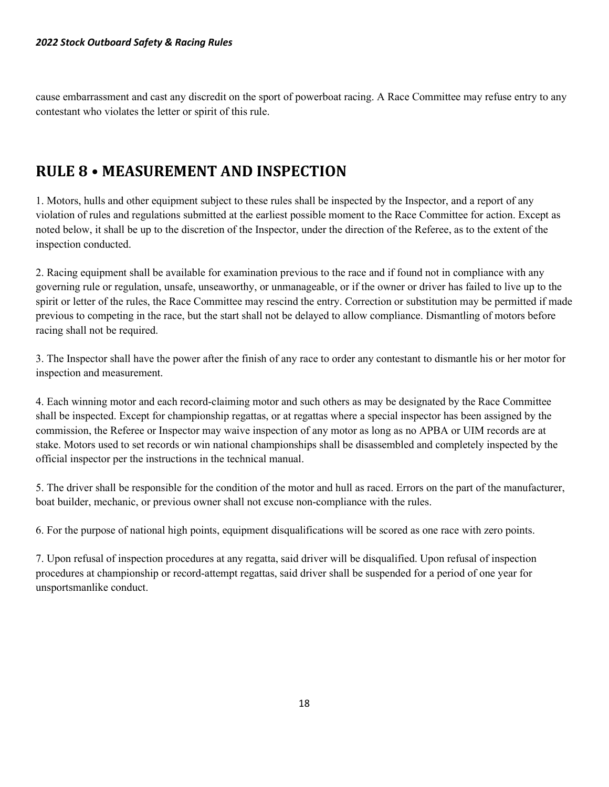cause embarrassment and cast any discredit on the sport of powerboat racing. A Race Committee may refuse entry to any contestant who violates the letter or spirit of this rule.

# <span id="page-17-0"></span>**RULE 8 • MEASUREMENT AND INSPECTION**

1. Motors, hulls and other equipment subject to these rules shall be inspected by the Inspector, and a report of any violation of rules and regulations submitted at the earliest possible moment to the Race Committee for action. Except as noted below, it shall be up to the discretion of the Inspector, under the direction of the Referee, as to the extent of the inspection conducted.

2. Racing equipment shall be available for examination previous to the race and if found not in compliance with any governing rule or regulation, unsafe, unseaworthy, or unmanageable, or if the owner or driver has failed to live up to the spirit or letter of the rules, the Race Committee may rescind the entry. Correction or substitution may be permitted if made previous to competing in the race, but the start shall not be delayed to allow compliance. Dismantling of motors before racing shall not be required.

3. The Inspector shall have the power after the finish of any race to order any contestant to dismantle his or her motor for inspection and measurement.

4. Each winning motor and each record-claiming motor and such others as may be designated by the Race Committee shall be inspected. Except for championship regattas, or at regattas where a special inspector has been assigned by the commission, the Referee or Inspector may waive inspection of any motor as long as no APBA or UIM records are at stake. Motors used to set records or win national championships shall be disassembled and completely inspected by the official inspector per the instructions in the technical manual.

5. The driver shall be responsible for the condition of the motor and hull as raced. Errors on the part of the manufacturer, boat builder, mechanic, or previous owner shall not excuse non-compliance with the rules.

6. For the purpose of national high points, equipment disqualifications will be scored as one race with zero points.

7. Upon refusal of inspection procedures at any regatta, said driver will be disqualified. Upon refusal of inspection procedures at championship or record-attempt regattas, said driver shall be suspended for a period of one year for unsportsmanlike conduct.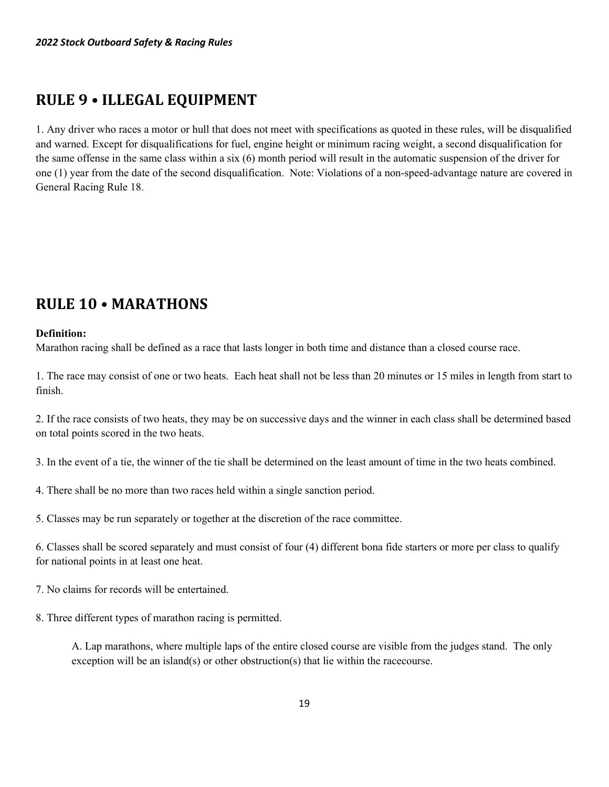## <span id="page-18-0"></span>**RULE 9 • ILLEGAL EQUIPMENT**

1. Any driver who races a motor or hull that does not meet with specifications as quoted in these rules, will be disqualified and warned. Except for disqualifications for fuel, engine height or minimum racing weight, a second disqualification for the same offense in the same class within a six (6) month period will result in the automatic suspension of the driver for one (1) year from the date of the second disqualification. Note: Violations of a non-speed-advantage nature are covered in General Racing Rule 18.

## <span id="page-18-1"></span>**RULE 10 • MARATHONS**

#### **Definition:**

Marathon racing shall be defined as a race that lasts longer in both time and distance than a closed course race.

1. The race may consist of one or two heats. Each heat shall not be less than 20 minutes or 15 miles in length from start to finish.

2. If the race consists of two heats, they may be on successive days and the winner in each class shall be determined based on total points scored in the two heats.

3. In the event of a tie, the winner of the tie shall be determined on the least amount of time in the two heats combined.

4. There shall be no more than two races held within a single sanction period.

5. Classes may be run separately or together at the discretion of the race committee.

6. Classes shall be scored separately and must consist of four (4) different bona fide starters or more per class to qualify for national points in at least one heat.

7. No claims for records will be entertained.

8. Three different types of marathon racing is permitted.

A. Lap marathons, where multiple laps of the entire closed course are visible from the judges stand. The only exception will be an island(s) or other obstruction(s) that lie within the racecourse.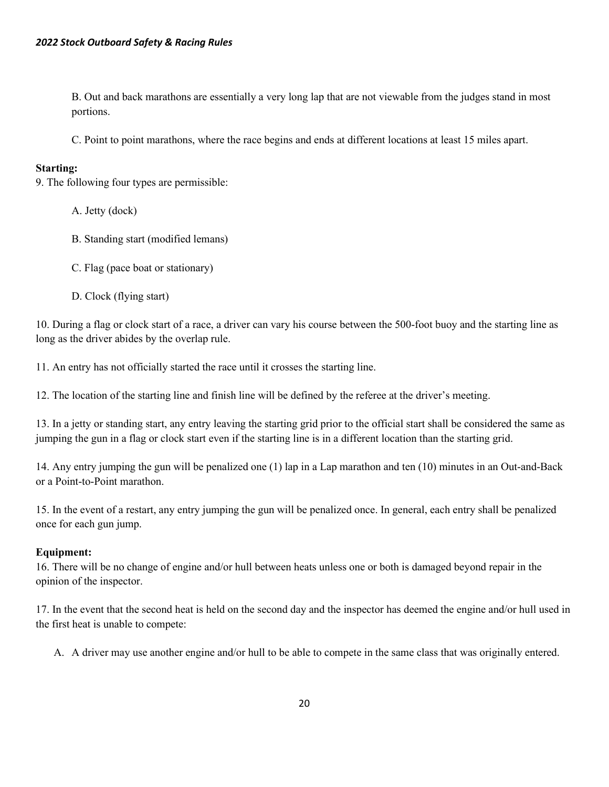B. Out and back marathons are essentially a very long lap that are not viewable from the judges stand in most portions.

C. Point to point marathons, where the race begins and ends at different locations at least 15 miles apart.

#### **Starting:**

9. The following four types are permissible:

- A. Jetty (dock)
- B. Standing start (modified lemans)
- C. Flag (pace boat or stationary)
- D. Clock (flying start)

10. During a flag or clock start of a race, a driver can vary his course between the 500-foot buoy and the starting line as long as the driver abides by the overlap rule.

11. An entry has not officially started the race until it crosses the starting line.

12. The location of the starting line and finish line will be defined by the referee at the driver's meeting.

13. In a jetty or standing start, any entry leaving the starting grid prior to the official start shall be considered the same as jumping the gun in a flag or clock start even if the starting line is in a different location than the starting grid.

14. Any entry jumping the gun will be penalized one (1) lap in a Lap marathon and ten (10) minutes in an Out-and-Back or a Point-to-Point marathon.

15. In the event of a restart, any entry jumping the gun will be penalized once. In general, each entry shall be penalized once for each gun jump.

#### **Equipment:**

16. There will be no change of engine and/or hull between heats unless one or both is damaged beyond repair in the opinion of the inspector.

17. In the event that the second heat is held on the second day and the inspector has deemed the engine and/or hull used in the first heat is unable to compete:

A. A driver may use another engine and/or hull to be able to compete in the same class that was originally entered.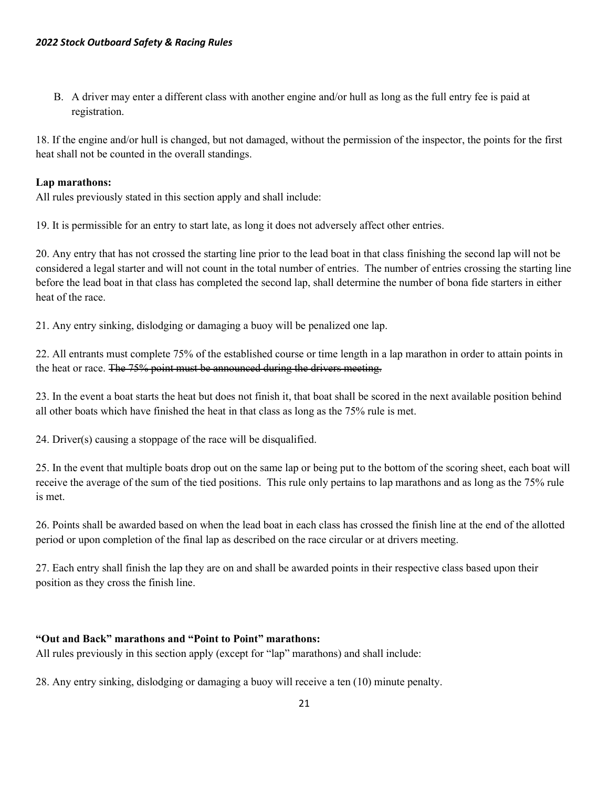B. A driver may enter a different class with another engine and/or hull as long as the full entry fee is paid at registration.

18. If the engine and/or hull is changed, but not damaged, without the permission of the inspector, the points for the first heat shall not be counted in the overall standings.

#### **Lap marathons:**

All rules previously stated in this section apply and shall include:

19. It is permissible for an entry to start late, as long it does not adversely affect other entries.

20. Any entry that has not crossed the starting line prior to the lead boat in that class finishing the second lap will not be considered a legal starter and will not count in the total number of entries. The number of entries crossing the starting line before the lead boat in that class has completed the second lap, shall determine the number of bona fide starters in either heat of the race.

21. Any entry sinking, dislodging or damaging a buoy will be penalized one lap.

22. All entrants must complete 75% of the established course or time length in a lap marathon in order to attain points in the heat or race. The 75% point must be announced during the drivers meeting.

23. In the event a boat starts the heat but does not finish it, that boat shall be scored in the next available position behind all other boats which have finished the heat in that class as long as the 75% rule is met.

24. Driver(s) causing a stoppage of the race will be disqualified.

25. In the event that multiple boats drop out on the same lap or being put to the bottom of the scoring sheet, each boat will receive the average of the sum of the tied positions. This rule only pertains to lap marathons and as long as the 75% rule is met.

26. Points shall be awarded based on when the lead boat in each class has crossed the finish line at the end of the allotted period or upon completion of the final lap as described on the race circular or at drivers meeting.

27. Each entry shall finish the lap they are on and shall be awarded points in their respective class based upon their position as they cross the finish line.

#### **"Out and Back" marathons and "Point to Point" marathons:**

All rules previously in this section apply (except for "lap" marathons) and shall include:

28. Any entry sinking, dislodging or damaging a buoy will receive a ten (10) minute penalty.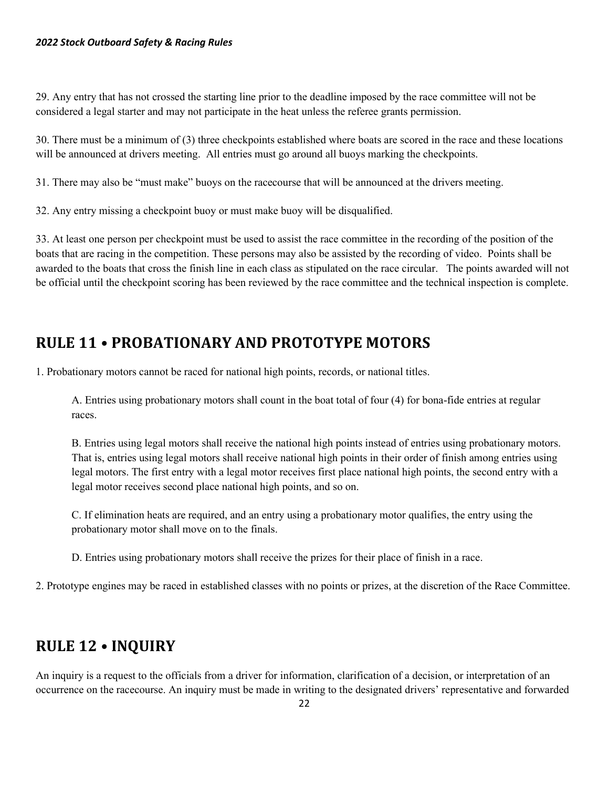29. Any entry that has not crossed the starting line prior to the deadline imposed by the race committee will not be considered a legal starter and may not participate in the heat unless the referee grants permission.

30. There must be a minimum of (3) three checkpoints established where boats are scored in the race and these locations will be announced at drivers meeting. All entries must go around all buoys marking the checkpoints.

31. There may also be "must make" buoys on the racecourse that will be announced at the drivers meeting.

32. Any entry missing a checkpoint buoy or must make buoy will be disqualified.

33. At least one person per checkpoint must be used to assist the race committee in the recording of the position of the boats that are racing in the competition. These persons may also be assisted by the recording of video. Points shall be awarded to the boats that cross the finish line in each class as stipulated on the race circular. The points awarded will not be official until the checkpoint scoring has been reviewed by the race committee and the technical inspection is complete.

### <span id="page-21-0"></span>**RULE 11 • PROBATIONARY AND PROTOTYPE MOTORS**

1. Probationary motors cannot be raced for national high points, records, or national titles.

A. Entries using probationary motors shall count in the boat total of four (4) for bona-fide entries at regular races.

B. Entries using legal motors shall receive the national high points instead of entries using probationary motors. That is, entries using legal motors shall receive national high points in their order of finish among entries using legal motors. The first entry with a legal motor receives first place national high points, the second entry with a legal motor receives second place national high points, and so on.

C. If elimination heats are required, and an entry using a probationary motor qualifies, the entry using the probationary motor shall move on to the finals.

D. Entries using probationary motors shall receive the prizes for their place of finish in a race.

2. Prototype engines may be raced in established classes with no points or prizes, at the discretion of the Race Committee.

### <span id="page-21-1"></span>**RULE 12 • INQUIRY**

An inquiry is a request to the officials from a driver for information, clarification of a decision, or interpretation of an occurrence on the racecourse. An inquiry must be made in writing to the designated drivers' representative and forwarded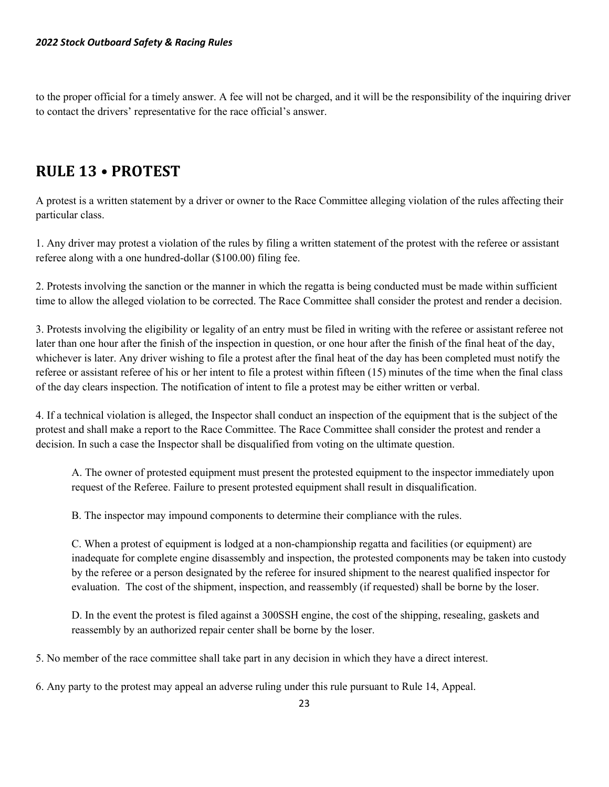to the proper official for a timely answer. A fee will not be charged, and it will be the responsibility of the inquiring driver to contact the drivers' representative for the race official's answer.

## <span id="page-22-0"></span>**RULE 13 • PROTEST**

A protest is a written statement by a driver or owner to the Race Committee alleging violation of the rules affecting their particular class.

1. Any driver may protest a violation of the rules by filing a written statement of the protest with the referee or assistant referee along with a one hundred-dollar (\$100.00) filing fee.

2. Protests involving the sanction or the manner in which the regatta is being conducted must be made within sufficient time to allow the alleged violation to be corrected. The Race Committee shall consider the protest and render a decision.

3. Protests involving the eligibility or legality of an entry must be filed in writing with the referee or assistant referee not later than one hour after the finish of the inspection in question, or one hour after the finish of the final heat of the day, whichever is later. Any driver wishing to file a protest after the final heat of the day has been completed must notify the referee or assistant referee of his or her intent to file a protest within fifteen (15) minutes of the time when the final class of the day clears inspection. The notification of intent to file a protest may be either written or verbal.

4. If a technical violation is alleged, the Inspector shall conduct an inspection of the equipment that is the subject of the protest and shall make a report to the Race Committee. The Race Committee shall consider the protest and render a decision. In such a case the Inspector shall be disqualified from voting on the ultimate question.

A. The owner of protested equipment must present the protested equipment to the inspector immediately upon request of the Referee. Failure to present protested equipment shall result in disqualification.

B. The inspector may impound components to determine their compliance with the rules.

C. When a protest of equipment is lodged at a non-championship regatta and facilities (or equipment) are inadequate for complete engine disassembly and inspection, the protested components may be taken into custody by the referee or a person designated by the referee for insured shipment to the nearest qualified inspector for evaluation. The cost of the shipment, inspection, and reassembly (if requested) shall be borne by the loser.

D. In the event the protest is filed against a 300SSH engine, the cost of the shipping, resealing, gaskets and reassembly by an authorized repair center shall be borne by the loser.

5. No member of the race committee shall take part in any decision in which they have a direct interest.

6. Any party to the protest may appeal an adverse ruling under this rule pursuant to Rule 14, Appeal.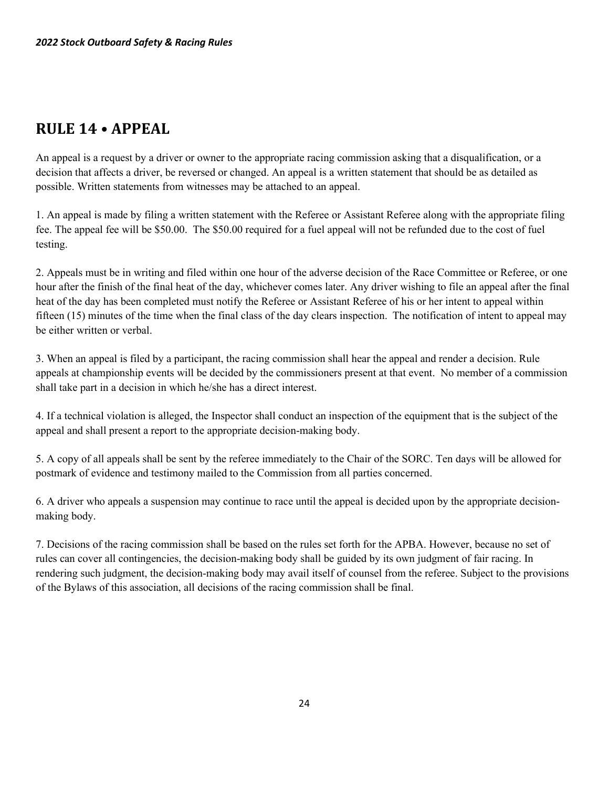## <span id="page-23-0"></span>**RULE 14 • APPEAL**

An appeal is a request by a driver or owner to the appropriate racing commission asking that a disqualification, or a decision that affects a driver, be reversed or changed. An appeal is a written statement that should be as detailed as possible. Written statements from witnesses may be attached to an appeal.

1. An appeal is made by filing a written statement with the Referee or Assistant Referee along with the appropriate filing fee. The appeal fee will be \$50.00. The \$50.00 required for a fuel appeal will not be refunded due to the cost of fuel testing.

2. Appeals must be in writing and filed within one hour of the adverse decision of the Race Committee or Referee, or one hour after the finish of the final heat of the day, whichever comes later. Any driver wishing to file an appeal after the final heat of the day has been completed must notify the Referee or Assistant Referee of his or her intent to appeal within fifteen (15) minutes of the time when the final class of the day clears inspection. The notification of intent to appeal may be either written or verbal.

3. When an appeal is filed by a participant, the racing commission shall hear the appeal and render a decision. Rule appeals at championship events will be decided by the commissioners present at that event. No member of a commission shall take part in a decision in which he/she has a direct interest.

4. If a technical violation is alleged, the Inspector shall conduct an inspection of the equipment that is the subject of the appeal and shall present a report to the appropriate decision-making body.

5. A copy of all appeals shall be sent by the referee immediately to the Chair of the SORC. Ten days will be allowed for postmark of evidence and testimony mailed to the Commission from all parties concerned.

6. A driver who appeals a suspension may continue to race until the appeal is decided upon by the appropriate decisionmaking body.

7. Decisions of the racing commission shall be based on the rules set forth for the APBA. However, because no set of rules can cover all contingencies, the decision-making body shall be guided by its own judgment of fair racing. In rendering such judgment, the decision-making body may avail itself of counsel from the referee. Subject to the provisions of the Bylaws of this association, all decisions of the racing commission shall be final.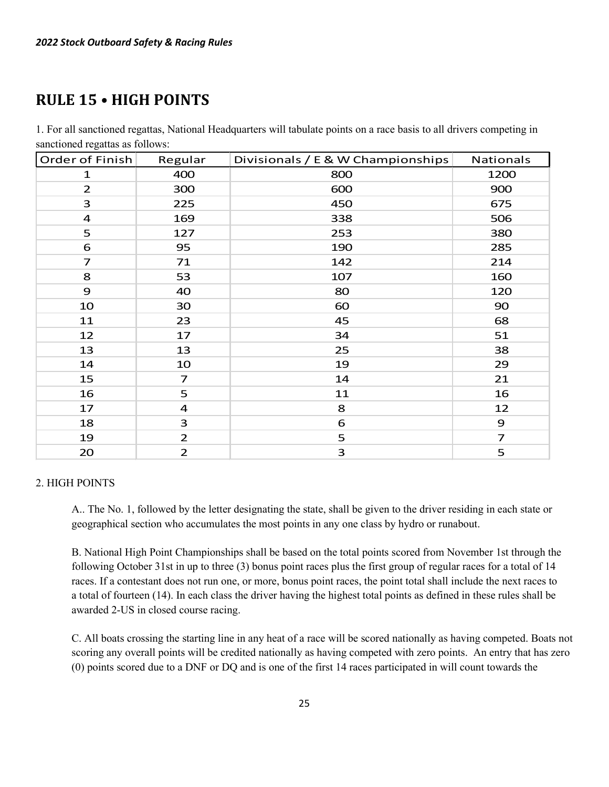## <span id="page-24-0"></span>**RULE 15 • HIGH POINTS**

1. For all sanctioned regattas, National Headquarters will tabulate points on a race basis to all drivers competing in sanctioned regattas as follows:

| Order of Finish | Regular        | Divisionals / E & W Championships | <b>Nationals</b>        |
|-----------------|----------------|-----------------------------------|-------------------------|
| $\mathbf 1$     | 400            | 800                               | 1200                    |
| $\overline{2}$  | 300            | 600                               | 900                     |
| 3               | 225            | 450                               | 675                     |
| 4               | 169            | 338                               | 506                     |
| 5               | 127            | 253                               | 380                     |
| 6               | 95             | 190                               | 285                     |
| $\overline{z}$  | 71             | 142                               | 214                     |
| 8               | 53             | 107                               | 160                     |
| 9               | 40             | 80                                | 120                     |
| 10              | 30             | 60                                | 90                      |
| 11              | 23             | 45                                | 68                      |
| 12              | 17             | 34                                | 51                      |
| 13              | 13             | 25                                | 38                      |
| 14              | 10             | 19                                | 29                      |
| 15              | $\overline{z}$ | 14                                | 21                      |
| 16              | 5              | 11                                | 16                      |
| 17              | 4              | 8                                 | 12                      |
| 18              | 3              | 6                                 | 9                       |
| 19              | $\overline{2}$ | 5                                 | $\overline{\mathbf{z}}$ |
| 20              | $\overline{2}$ | 3                                 | 5                       |

#### 2. HIGH POINTS

A.. The No. 1, followed by the letter designating the state, shall be given to the driver residing in each state or geographical section who accumulates the most points in any one class by hydro or runabout.

B. National High Point Championships shall be based on the total points scored from November 1st through the following October 31st in up to three (3) bonus point races plus the first group of regular races for a total of 14 races. If a contestant does not run one, or more, bonus point races, the point total shall include the next races to a total of fourteen (14). In each class the driver having the highest total points as defined in these rules shall be awarded 2-US in closed course racing.

C. All boats crossing the starting line in any heat of a race will be scored nationally as having competed. Boats not scoring any overall points will be credited nationally as having competed with zero points. An entry that has zero (0) points scored due to a DNF or DQ and is one of the first 14 races participated in will count towards the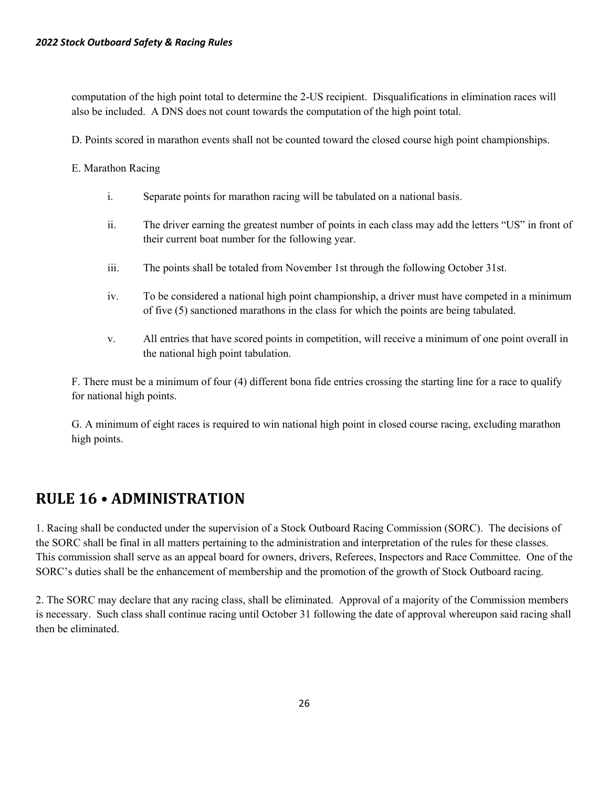computation of the high point total to determine the 2-US recipient. Disqualifications in elimination races will also be included. A DNS does not count towards the computation of the high point total.

D. Points scored in marathon events shall not be counted toward the closed course high point championships.

E. Marathon Racing

- i. Separate points for marathon racing will be tabulated on a national basis.
- ii. The driver earning the greatest number of points in each class may add the letters "US" in front of their current boat number for the following year.
- iii. The points shall be totaled from November 1st through the following October 31st.
- iv. To be considered a national high point championship, a driver must have competed in a minimum of five (5) sanctioned marathons in the class for which the points are being tabulated.
- v. All entries that have scored points in competition, will receive a minimum of one point overall in the national high point tabulation.

F. There must be a minimum of four (4) different bona fide entries crossing the starting line for a race to qualify for national high points.

G. A minimum of eight races is required to win national high point in closed course racing, excluding marathon high points.

## <span id="page-25-0"></span>**RULE 16 • ADMINISTRATION**

1. Racing shall be conducted under the supervision of a Stock Outboard Racing Commission (SORC). The decisions of the SORC shall be final in all matters pertaining to the administration and interpretation of the rules for these classes. This commission shall serve as an appeal board for owners, drivers, Referees, Inspectors and Race Committee. One of the SORC's duties shall be the enhancement of membership and the promotion of the growth of Stock Outboard racing.

2. The SORC may declare that any racing class, shall be eliminated. Approval of a majority of the Commission members is necessary. Such class shall continue racing until October 31 following the date of approval whereupon said racing shall then be eliminated.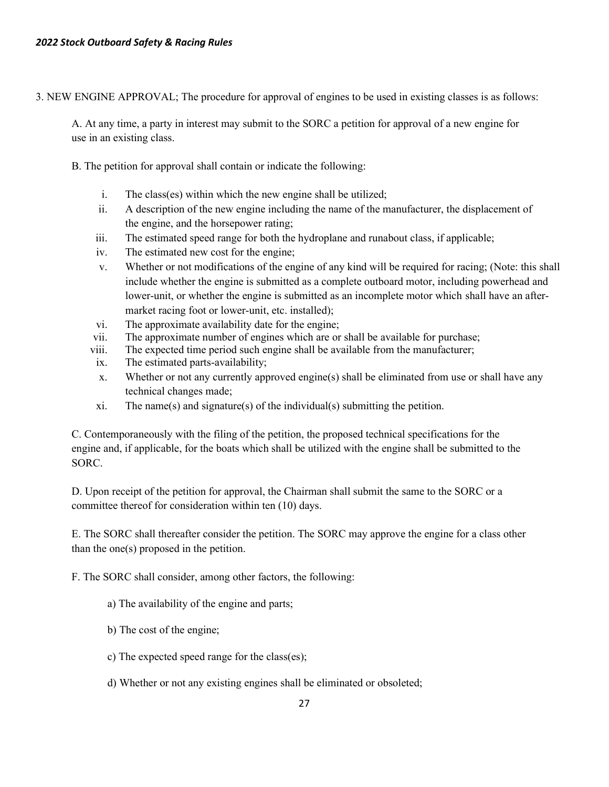3. NEW ENGINE APPROVAL; The procedure for approval of engines to be used in existing classes is as follows:

A. At any time, a party in interest may submit to the SORC a petition for approval of a new engine for use in an existing class.

- B. The petition for approval shall contain or indicate the following:
	- i. The class(es) within which the new engine shall be utilized;
	- ii. A description of the new engine including the name of the manufacturer, the displacement of the engine, and the horsepower rating;
	- iii. The estimated speed range for both the hydroplane and runabout class, if applicable;
	- iv. The estimated new cost for the engine;
	- v. Whether or not modifications of the engine of any kind will be required for racing; (Note: this shall include whether the engine is submitted as a complete outboard motor, including powerhead and lower-unit, or whether the engine is submitted as an incomplete motor which shall have an aftermarket racing foot or lower-unit, etc. installed);
	- vi. The approximate availability date for the engine;
	- vii. The approximate number of engines which are or shall be available for purchase;
	- viii. The expected time period such engine shall be available from the manufacturer;
	- ix. The estimated parts-availability;
	- x. Whether or not any currently approved engine(s) shall be eliminated from use or shall have any technical changes made;
	- xi. The name(s) and signature(s) of the individual(s) submitting the petition.

C. Contemporaneously with the filing of the petition, the proposed technical specifications for the engine and, if applicable, for the boats which shall be utilized with the engine shall be submitted to the SORC.

D. Upon receipt of the petition for approval, the Chairman shall submit the same to the SORC or a committee thereof for consideration within ten (10) days.

E. The SORC shall thereafter consider the petition. The SORC may approve the engine for a class other than the one(s) proposed in the petition.

F. The SORC shall consider, among other factors, the following:

- a) The availability of the engine and parts;
- b) The cost of the engine;
- c) The expected speed range for the class(es);
- d) Whether or not any existing engines shall be eliminated or obsoleted;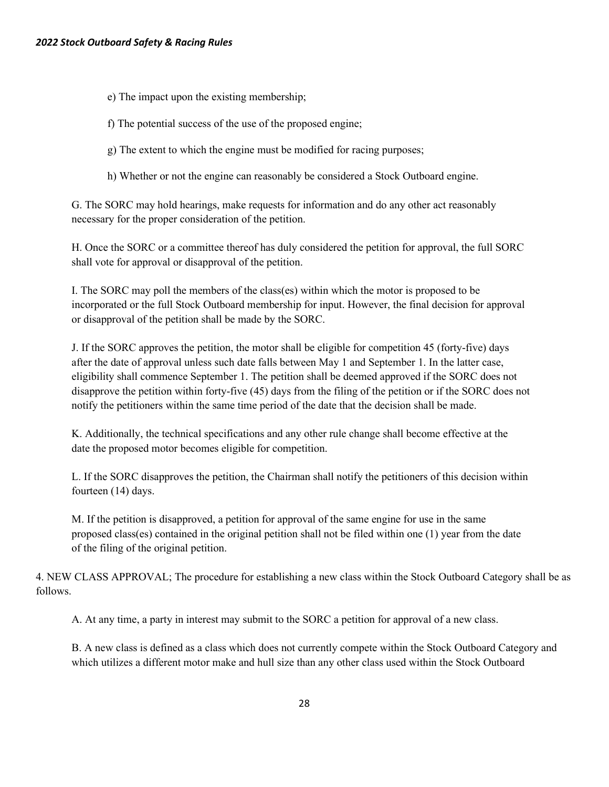- e) The impact upon the existing membership;
- f) The potential success of the use of the proposed engine;
- g) The extent to which the engine must be modified for racing purposes;
- h) Whether or not the engine can reasonably be considered a Stock Outboard engine.

G. The SORC may hold hearings, make requests for information and do any other act reasonably necessary for the proper consideration of the petition.

H. Once the SORC or a committee thereof has duly considered the petition for approval, the full SORC shall vote for approval or disapproval of the petition.

I. The SORC may poll the members of the class(es) within which the motor is proposed to be incorporated or the full Stock Outboard membership for input. However, the final decision for approval or disapproval of the petition shall be made by the SORC.

J. If the SORC approves the petition, the motor shall be eligible for competition 45 (forty-five) days after the date of approval unless such date falls between May 1 and September 1. In the latter case, eligibility shall commence September 1. The petition shall be deemed approved if the SORC does not disapprove the petition within forty-five (45) days from the filing of the petition or if the SORC does not notify the petitioners within the same time period of the date that the decision shall be made.

K. Additionally, the technical specifications and any other rule change shall become effective at the date the proposed motor becomes eligible for competition.

L. If the SORC disapproves the petition, the Chairman shall notify the petitioners of this decision within fourteen (14) days.

M. If the petition is disapproved, a petition for approval of the same engine for use in the same proposed class(es) contained in the original petition shall not be filed within one (1) year from the date of the filing of the original petition.

4. NEW CLASS APPROVAL; The procedure for establishing a new class within the Stock Outboard Category shall be as follows.

A. At any time, a party in interest may submit to the SORC a petition for approval of a new class.

B. A new class is defined as a class which does not currently compete within the Stock Outboard Category and which utilizes a different motor make and hull size than any other class used within the Stock Outboard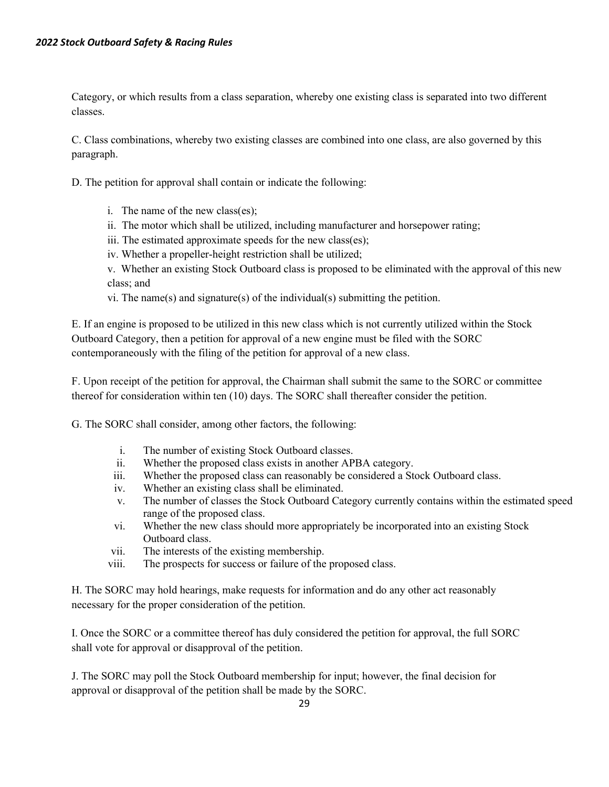Category, or which results from a class separation, whereby one existing class is separated into two different classes.

C. Class combinations, whereby two existing classes are combined into one class, are also governed by this paragraph.

D. The petition for approval shall contain or indicate the following:

- i. The name of the new class(es);
- ii. The motor which shall be utilized, including manufacturer and horsepower rating;
- iii. The estimated approximate speeds for the new class(es);
- iv. Whether a propeller-height restriction shall be utilized;

v. Whether an existing Stock Outboard class is proposed to be eliminated with the approval of this new class; and

vi. The name(s) and signature(s) of the individual(s) submitting the petition.

E. If an engine is proposed to be utilized in this new class which is not currently utilized within the Stock Outboard Category, then a petition for approval of a new engine must be filed with the SORC contemporaneously with the filing of the petition for approval of a new class.

F. Upon receipt of the petition for approval, the Chairman shall submit the same to the SORC or committee thereof for consideration within ten (10) days. The SORC shall thereafter consider the petition.

G. The SORC shall consider, among other factors, the following:

- i. The number of existing Stock Outboard classes.
- ii. Whether the proposed class exists in another APBA category.
- iii. Whether the proposed class can reasonably be considered a Stock Outboard class.
- iv. Whether an existing class shall be eliminated.
- v. The number of classes the Stock Outboard Category currently contains within the estimated speed range of the proposed class.
- vi. Whether the new class should more appropriately be incorporated into an existing Stock Outboard class.
- vii. The interests of the existing membership.
- viii. The prospects for success or failure of the proposed class.

H. The SORC may hold hearings, make requests for information and do any other act reasonably necessary for the proper consideration of the petition.

I. Once the SORC or a committee thereof has duly considered the petition for approval, the full SORC shall vote for approval or disapproval of the petition.

J. The SORC may poll the Stock Outboard membership for input; however, the final decision for approval or disapproval of the petition shall be made by the SORC.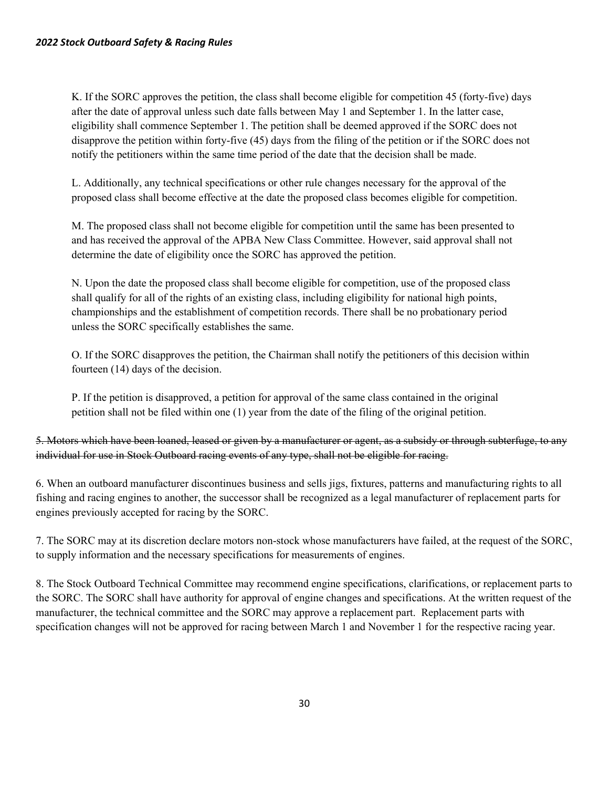K. If the SORC approves the petition, the class shall become eligible for competition 45 (forty-five) days after the date of approval unless such date falls between May 1 and September 1. In the latter case, eligibility shall commence September 1. The petition shall be deemed approved if the SORC does not disapprove the petition within forty-five (45) days from the filing of the petition or if the SORC does not notify the petitioners within the same time period of the date that the decision shall be made.

L. Additionally, any technical specifications or other rule changes necessary for the approval of the proposed class shall become effective at the date the proposed class becomes eligible for competition.

M. The proposed class shall not become eligible for competition until the same has been presented to and has received the approval of the APBA New Class Committee. However, said approval shall not determine the date of eligibility once the SORC has approved the petition.

N. Upon the date the proposed class shall become eligible for competition, use of the proposed class shall qualify for all of the rights of an existing class, including eligibility for national high points, championships and the establishment of competition records. There shall be no probationary period unless the SORC specifically establishes the same.

O. If the SORC disapproves the petition, the Chairman shall notify the petitioners of this decision within fourteen (14) days of the decision.

P. If the petition is disapproved, a petition for approval of the same class contained in the original petition shall not be filed within one (1) year from the date of the filing of the original petition.

#### 5. Motors which have been loaned, leased or given by a manufacturer or agent, as a subsidy or through subterfuge, to any individual for use in Stock Outboard racing events of any type, shall not be eligible for racing.

6. When an outboard manufacturer discontinues business and sells jigs, fixtures, patterns and manufacturing rights to all fishing and racing engines to another, the successor shall be recognized as a legal manufacturer of replacement parts for engines previously accepted for racing by the SORC.

7. The SORC may at its discretion declare motors non-stock whose manufacturers have failed, at the request of the SORC, to supply information and the necessary specifications for measurements of engines.

8. The Stock Outboard Technical Committee may recommend engine specifications, clarifications, or replacement parts to the SORC. The SORC shall have authority for approval of engine changes and specifications. At the written request of the manufacturer, the technical committee and the SORC may approve a replacement part. Replacement parts with specification changes will not be approved for racing between March 1 and November 1 for the respective racing year.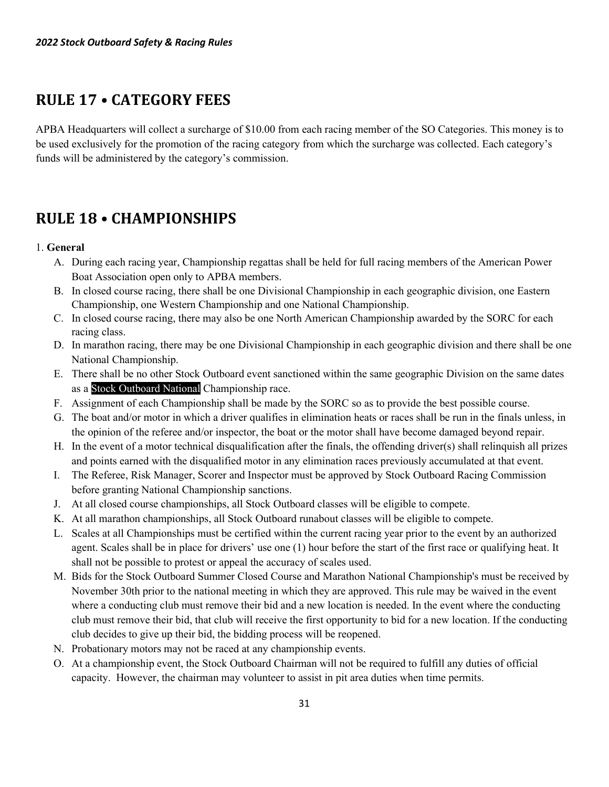## <span id="page-30-0"></span>**RULE 17 • CATEGORY FEES**

APBA Headquarters will collect a surcharge of \$10.00 from each racing member of the SO Categories. This money is to be used exclusively for the promotion of the racing category from which the surcharge was collected. Each category's funds will be administered by the category's commission.

## <span id="page-30-1"></span>**RULE 18 • CHAMPIONSHIPS**

#### 1. **General**

- A. During each racing year, Championship regattas shall be held for full racing members of the American Power Boat Association open only to APBA members.
- B. In closed course racing, there shall be one Divisional Championship in each geographic division, one Eastern Championship, one Western Championship and one National Championship.
- C. In closed course racing, there may also be one North American Championship awarded by the SORC for each racing class.
- D. In marathon racing, there may be one Divisional Championship in each geographic division and there shall be one National Championship.
- E. There shall be no other Stock Outboard event sanctioned within the same geographic Division on the same dates as a Stock Outboard National Championship race.
- F. Assignment of each Championship shall be made by the SORC so as to provide the best possible course.
- G. The boat and/or motor in which a driver qualifies in elimination heats or races shall be run in the finals unless, in the opinion of the referee and/or inspector, the boat or the motor shall have become damaged beyond repair.
- H. In the event of a motor technical disqualification after the finals, the offending driver(s) shall relinquish all prizes and points earned with the disqualified motor in any elimination races previously accumulated at that event.
- I. The Referee, Risk Manager, Scorer and Inspector must be approved by Stock Outboard Racing Commission before granting National Championship sanctions.
- J. At all closed course championships, all Stock Outboard classes will be eligible to compete.
- K. At all marathon championships, all Stock Outboard runabout classes will be eligible to compete.
- L. Scales at all Championships must be certified within the current racing year prior to the event by an authorized agent. Scales shall be in place for drivers' use one (1) hour before the start of the first race or qualifying heat. It shall not be possible to protest or appeal the accuracy of scales used.
- M. Bids for the Stock Outboard Summer Closed Course and Marathon National Championship's must be received by November 30th prior to the national meeting in which they are approved. This rule may be waived in the event where a conducting club must remove their bid and a new location is needed. In the event where the conducting club must remove their bid, that club will receive the first opportunity to bid for a new location. If the conducting club decides to give up their bid, the bidding process will be reopened.
- N. Probationary motors may not be raced at any championship events.
- O. At a championship event, the Stock Outboard Chairman will not be required to fulfill any duties of official capacity. However, the chairman may volunteer to assist in pit area duties when time permits.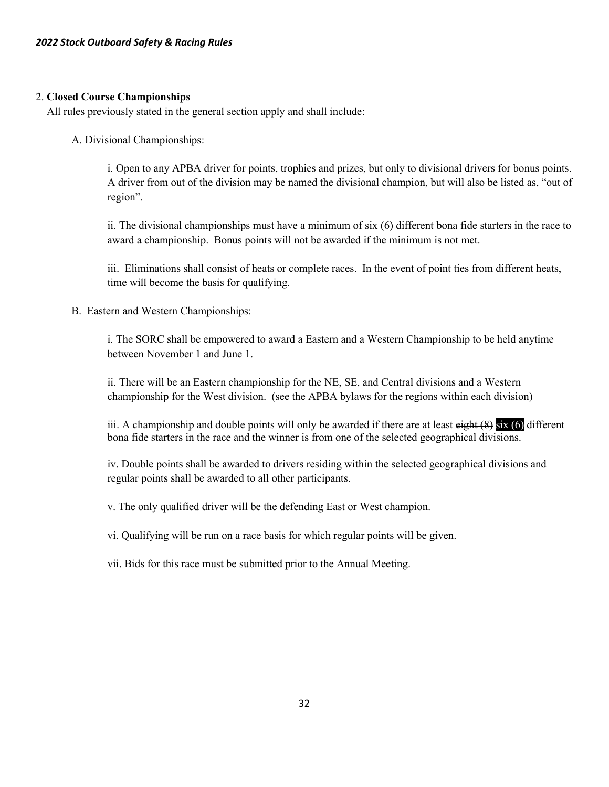#### 2. **Closed Course Championships**

All rules previously stated in the general section apply and shall include:

A. Divisional Championships:

i. Open to any APBA driver for points, trophies and prizes, but only to divisional drivers for bonus points. A driver from out of the division may be named the divisional champion, but will also be listed as, "out of region".

ii. The divisional championships must have a minimum of six (6) different bona fide starters in the race to award a championship. Bonus points will not be awarded if the minimum is not met.

iii. Eliminations shall consist of heats or complete races. In the event of point ties from different heats, time will become the basis for qualifying.

B. Eastern and Western Championships:

i. The SORC shall be empowered to award a Eastern and a Western Championship to be held anytime between November 1 and June 1.

ii. There will be an Eastern championship for the NE, SE, and Central divisions and a Western championship for the West division. (see the APBA bylaws for the regions within each division)

iii. A championship and double points will only be awarded if there are at least  $\frac{e^{i\theta}}{1 + e^{i\theta}}$  six (6) different bona fide starters in the race and the winner is from one of the selected geographical divisions.

iv. Double points shall be awarded to drivers residing within the selected geographical divisions and regular points shall be awarded to all other participants.

v. The only qualified driver will be the defending East or West champion.

vi. Qualifying will be run on a race basis for which regular points will be given.

vii. Bids for this race must be submitted prior to the Annual Meeting.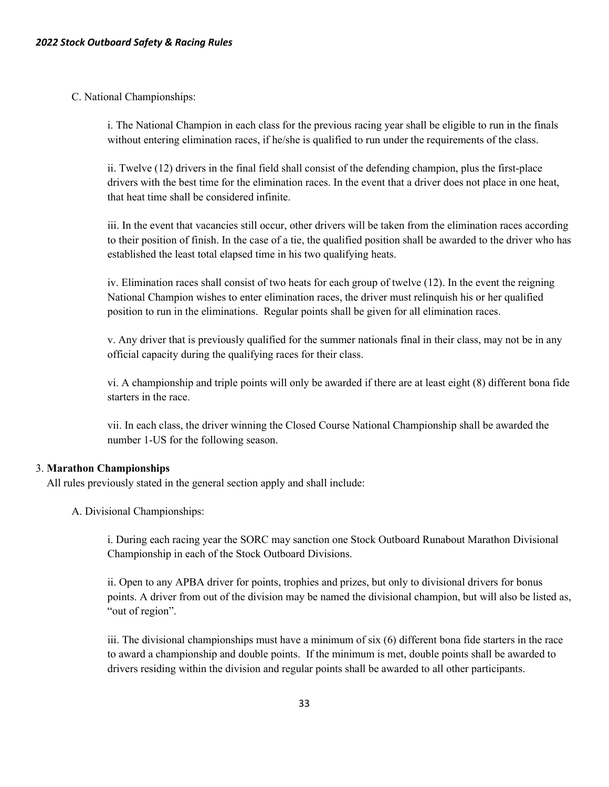C. National Championships:

i. The National Champion in each class for the previous racing year shall be eligible to run in the finals without entering elimination races, if he/she is qualified to run under the requirements of the class.

ii. Twelve (12) drivers in the final field shall consist of the defending champion, plus the first-place drivers with the best time for the elimination races. In the event that a driver does not place in one heat, that heat time shall be considered infinite.

iii. In the event that vacancies still occur, other drivers will be taken from the elimination races according to their position of finish. In the case of a tie, the qualified position shall be awarded to the driver who has established the least total elapsed time in his two qualifying heats.

iv. Elimination races shall consist of two heats for each group of twelve (12). In the event the reigning National Champion wishes to enter elimination races, the driver must relinquish his or her qualified position to run in the eliminations. Regular points shall be given for all elimination races.

v. Any driver that is previously qualified for the summer nationals final in their class, may not be in any official capacity during the qualifying races for their class.

vi. A championship and triple points will only be awarded if there are at least eight (8) different bona fide starters in the race.

vii. In each class, the driver winning the Closed Course National Championship shall be awarded the number 1-US for the following season.

#### 3. **Marathon Championships**

All rules previously stated in the general section apply and shall include:

A. Divisional Championships:

i. During each racing year the SORC may sanction one Stock Outboard Runabout Marathon Divisional Championship in each of the Stock Outboard Divisions.

ii. Open to any APBA driver for points, trophies and prizes, but only to divisional drivers for bonus points. A driver from out of the division may be named the divisional champion, but will also be listed as, "out of region".

iii. The divisional championships must have a minimum of six (6) different bona fide starters in the race to award a championship and double points. If the minimum is met, double points shall be awarded to drivers residing within the division and regular points shall be awarded to all other participants.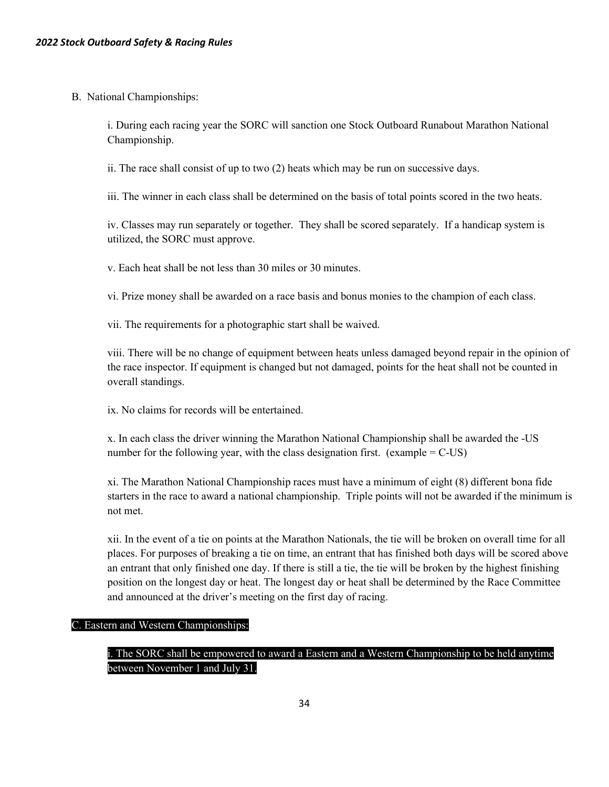B. National Championships:

i. During each racing year the SORC will sanction one Stock Outboard Runabout Marathon National Championship.

ii. The race shall consist of up to two (2) heats which may be run on successive days.

iii. The winner in each class shall be determined on the basis of total points scored in the two heats.

iv. Classes may run separately or together. They shall be scored separately. If a handicap system is utilized, the SORC must approve.

v. Each heat shall be not less than 30 miles or 30 minutes.

vi. Prize money shall be awarded on a race basis and bonus monies to the champion of each class.

vii. The requirements for a photographic start shall be waived.

viii. There will be no change of equipment between heats unless damaged beyond repair in the opinion of the race inspector. If equipment is changed but not damaged, points for the heat shall not be counted in overall standings.

ix. No claims for records will be entertained.

x. In each class the driver winning the Marathon National Championship shall be awarded the -US number for the following year, with the class designation first. (example  $= C$ -US)

xi. The Marathon National Championship races must have a minimum of eight (8) different bona fide starters in the race to award a national championship. Triple points will not be awarded if the minimum is not met.

xii. In the event of a tie on points at the Marathon Nationals, the tie will be broken on overall time for all places. For purposes of breaking a tie on time, an entrant that has finished both days will be scored above an entrant that only finished one day. If there is still a tie, the tie will be broken by the highest finishing position on the longest day or heat. The longest day or heat shall be determined by the Race Committee and announced at the driver's meeting on the first day of racing.

#### C. Eastern and Western Championships:

#### i. The SORC shall be empowered to award a Eastern and a Western Championship to be held anytime between November 1 and July 31.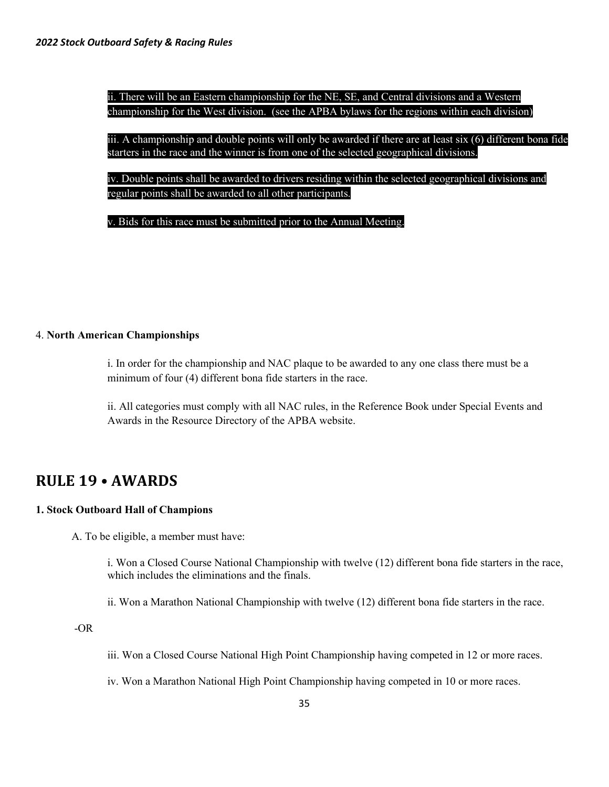ii. There will be an Eastern championship for the NE, SE, and Central divisions and a Western championship for the West division. (see the APBA bylaws for the regions within each division)

iii. A championship and double points will only be awarded if there are at least six (6) different bona fide starters in the race and the winner is from one of the selected geographical divisions.

iv. Double points shall be awarded to drivers residing within the selected geographical divisions and regular points shall be awarded to all other participants.

v. Bids for this race must be submitted prior to the Annual Meeting.

#### 4. **North American Championships**

i. In order for the championship and NAC plaque to be awarded to any one class there must be a minimum of four (4) different bona fide starters in the race.

ii. All categories must comply with all NAC rules, in the Reference Book under Special Events and Awards in the Resource Directory of the APBA website.

### <span id="page-34-0"></span>**RULE 19 • AWARDS**

#### **1. Stock Outboard Hall of Champions**

A. To be eligible, a member must have:

i. Won a Closed Course National Championship with twelve (12) different bona fide starters in the race, which includes the eliminations and the finals.

ii. Won a Marathon National Championship with twelve (12) different bona fide starters in the race.

-OR

iii. Won a Closed Course National High Point Championship having competed in 12 or more races.

iv. Won a Marathon National High Point Championship having competed in 10 or more races.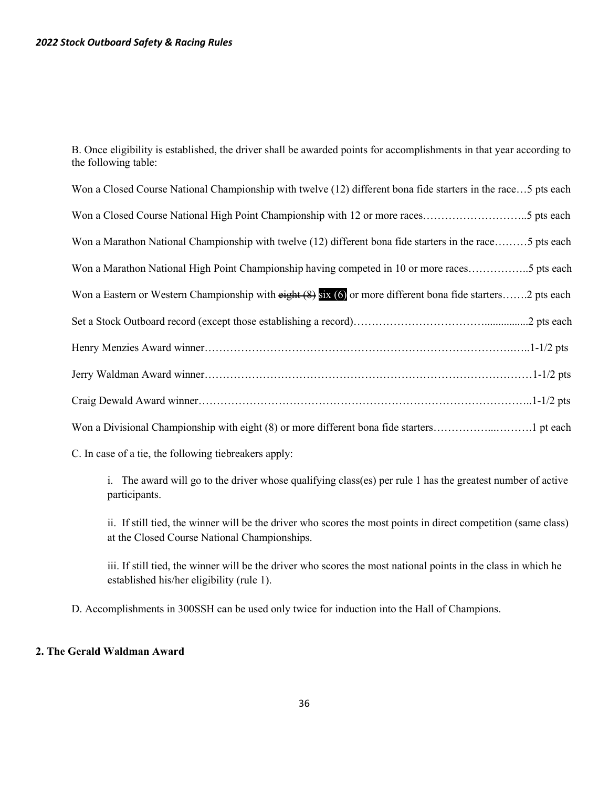B. Once eligibility is established, the driver shall be awarded points for accomplishments in that year according to the following table:

Won a Closed Course National Championship with twelve (12) different bona fide starters in the race…5 pts each Won a Closed Course National High Point Championship with 12 or more races………………………..5 pts each Won a Marathon National Championship with twelve (12) different bona fide starters in the race………5 pts each Won a Marathon National High Point Championship having competed in 10 or more races……………..5 pts each Won a Eastern or Western Championship with eight (8) six (6) or more different bona fide starters…….2 pts each Set a Stock Outboard record (except those establishing a record)………………………………................2 pts each Henry Menzies Award winner………………………………………………………………………….…..1-1/2 pts Jerry Waldman Award winner………………………………………………………………………………1-1/2 pts Craig Dewald Award winner………………………………………………………………………………..1-1/2 pts Won a Divisional Championship with eight (8) or more different bona fide starters……………...……….1 pt each

C. In case of a tie, the following tiebreakers apply:

i. The award will go to the driver whose qualifying class(es) per rule 1 has the greatest number of active participants.

ii. If still tied, the winner will be the driver who scores the most points in direct competition (same class) at the Closed Course National Championships.

iii. If still tied, the winner will be the driver who scores the most national points in the class in which he established his/her eligibility (rule 1).

D. Accomplishments in 300SSH can be used only twice for induction into the Hall of Champions.

#### **2. The Gerald Waldman Award**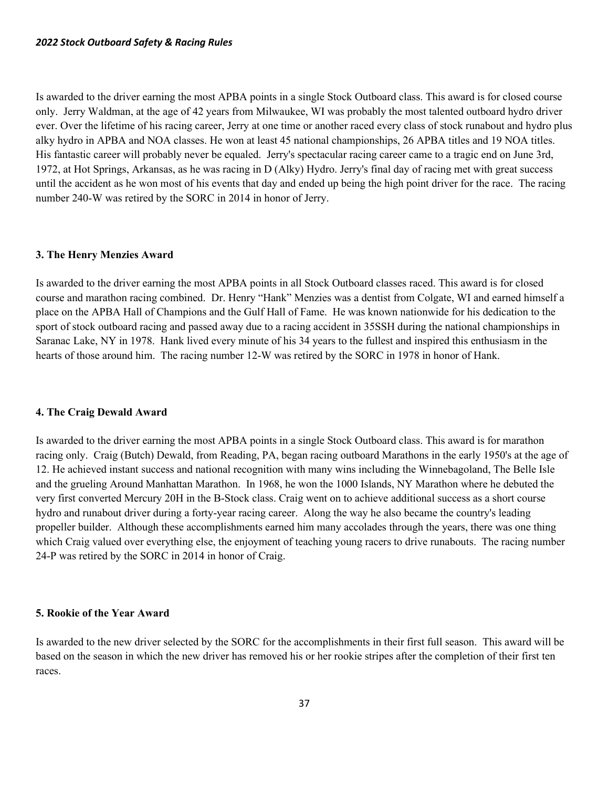#### *2022 Stock Outboard Safety & Racing Rules*

Is awarded to the driver earning the most APBA points in a single Stock Outboard class. This award is for closed course only. Jerry Waldman, at the age of 42 years from Milwaukee, WI was probably the most talented outboard hydro driver ever. Over the lifetime of his racing career, Jerry at one time or another raced every class of stock runabout and hydro plus alky hydro in APBA and NOA classes. He won at least 45 national championships, 26 APBA titles and 19 NOA titles. His fantastic career will probably never be equaled. Jerry's spectacular racing career came to a tragic end on June 3rd, 1972, at Hot Springs, Arkansas, as he was racing in D (Alky) Hydro. Jerry's final day of racing met with great success until the accident as he won most of his events that day and ended up being the high point driver for the race. The racing number 240-W was retired by the SORC in 2014 in honor of Jerry.

#### **3. The Henry Menzies Award**

Is awarded to the driver earning the most APBA points in all Stock Outboard classes raced. This award is for closed course and marathon racing combined. Dr. Henry "Hank" Menzies was a dentist from Colgate, WI and earned himself a place on the APBA Hall of Champions and the Gulf Hall of Fame. He was known nationwide for his dedication to the sport of stock outboard racing and passed away due to a racing accident in 35SSH during the national championships in Saranac Lake, NY in 1978. Hank lived every minute of his 34 years to the fullest and inspired this enthusiasm in the hearts of those around him. The racing number 12-W was retired by the SORC in 1978 in honor of Hank.

#### **4. The Craig Dewald Award**

Is awarded to the driver earning the most APBA points in a single Stock Outboard class. This award is for marathon racing only. Craig (Butch) Dewald, from Reading, PA, began racing outboard Marathons in the early 1950's at the age of 12. He achieved instant success and national recognition with many wins including the Winnebagoland, The Belle Isle and the grueling Around Manhattan Marathon. In 1968, he won the 1000 Islands, NY Marathon where he debuted the very first converted Mercury 20H in the B-Stock class. Craig went on to achieve additional success as a short course hydro and runabout driver during a forty-year racing career. Along the way he also became the country's leading propeller builder. Although these accomplishments earned him many accolades through the years, there was one thing which Craig valued over everything else, the enjoyment of teaching young racers to drive runabouts. The racing number 24-P was retired by the SORC in 2014 in honor of Craig.

#### **5. Rookie of the Year Award**

Is awarded to the new driver selected by the SORC for the accomplishments in their first full season. This award will be based on the season in which the new driver has removed his or her rookie stripes after the completion of their first ten races.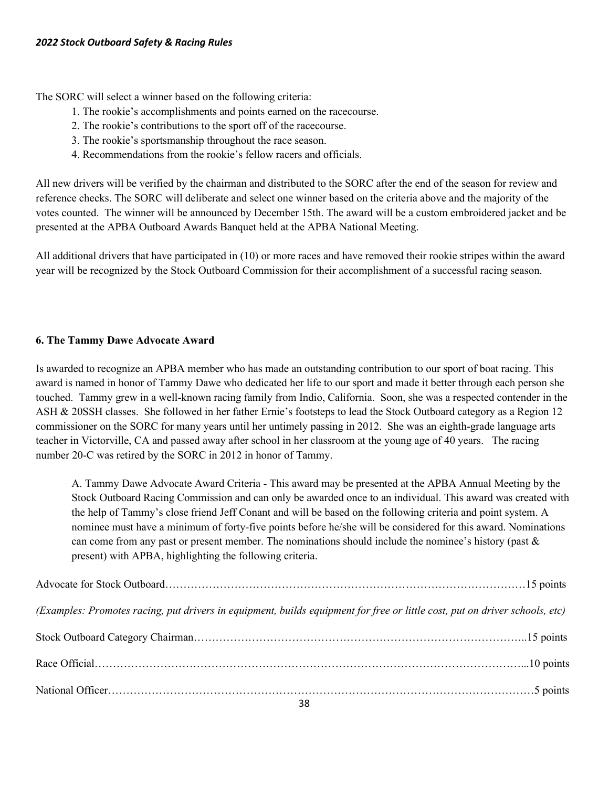The SORC will select a winner based on the following criteria:

- 1. The rookie's accomplishments and points earned on the racecourse.
- 2. The rookie's contributions to the sport off of the racecourse.
- 3. The rookie's sportsmanship throughout the race season.
- 4. Recommendations from the rookie's fellow racers and officials.

All new drivers will be verified by the chairman and distributed to the SORC after the end of the season for review and reference checks. The SORC will deliberate and select one winner based on the criteria above and the majority of the votes counted. The winner will be announced by December 15th. The award will be a custom embroidered jacket and be presented at the APBA Outboard Awards Banquet held at the APBA National Meeting.

All additional drivers that have participated in (10) or more races and have removed their rookie stripes within the award year will be recognized by the Stock Outboard Commission for their accomplishment of a successful racing season.

#### **6. The Tammy Dawe Advocate Award**

Is awarded to recognize an APBA member who has made an outstanding contribution to our sport of boat racing. This award is named in honor of Tammy Dawe who dedicated her life to our sport and made it better through each person she touched. Tammy grew in a well-known racing family from Indio, California. Soon, she was a respected contender in the ASH & 20SSH classes. She followed in her father Ernie's footsteps to lead the Stock Outboard category as a Region 12 commissioner on the SORC for many years until her untimely passing in 2012. She was an eighth-grade language arts teacher in Victorville, CA and passed away after school in her classroom at the young age of 40 years. The racing number 20-C was retired by the SORC in 2012 in honor of Tammy.

A. Tammy Dawe Advocate Award Criteria - This award may be presented at the APBA Annual Meeting by the Stock Outboard Racing Commission and can only be awarded once to an individual. This award was created with the help of Tammy's close friend Jeff Conant and will be based on the following criteria and point system. A nominee must have a minimum of forty-five points before he/she will be considered for this award. Nominations can come from any past or present member. The nominations should include the nominee's history (past & present) with APBA, highlighting the following criteria.

| (Examples: Promotes racing, put drivers in equipment, builds equipment for free or little cost, put on driver schools, etc) |  |
|-----------------------------------------------------------------------------------------------------------------------------|--|
|                                                                                                                             |  |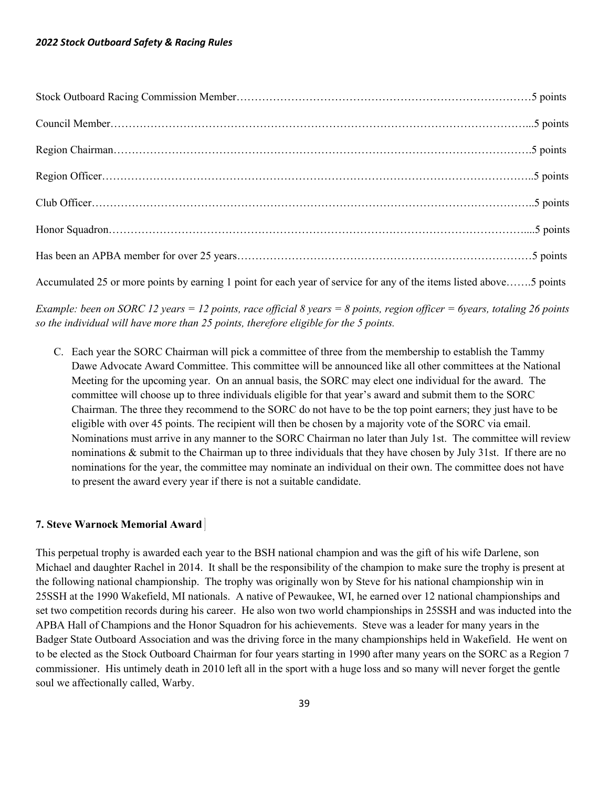Accumulated 25 or more points by earning 1 point for each year of service for any of the items listed above…….5 points

*Example: been on SORC 12 years = 12 points, race official 8 years = 8 points, region officer = 6years, totaling 26 points so the individual will have more than 25 points, therefore eligible for the 5 points.*

C. Each year the SORC Chairman will pick a committee of three from the membership to establish the Tammy Dawe Advocate Award Committee. This committee will be announced like all other committees at the National Meeting for the upcoming year. On an annual basis, the SORC may elect one individual for the award. The committee will choose up to three individuals eligible for that year's award and submit them to the SORC Chairman. The three they recommend to the SORC do not have to be the top point earners; they just have to be eligible with over 45 points. The recipient will then be chosen by a majority vote of the SORC via email. Nominations must arrive in any manner to the SORC Chairman no later than July 1st. The committee will review nominations & submit to the Chairman up to three individuals that they have chosen by July 31st. If there are no nominations for the year, the committee may nominate an individual on their own. The committee does not have to present the award every year if there is not a suitable candidate.

#### **7. Steve Warnock Memorial Award**

This perpetual trophy is awarded each year to the BSH national champion and was the gift of his wife Darlene, son Michael and daughter Rachel in 2014. It shall be the responsibility of the champion to make sure the trophy is present at the following national championship. The trophy was originally won by Steve for his national championship win in 25SSH at the 1990 Wakefield, MI nationals. A native of Pewaukee, WI, he earned over 12 national championships and set two competition records during his career. He also won two world championships in 25SSH and was inducted into the APBA Hall of Champions and the Honor Squadron for his achievements. Steve was a leader for many years in the Badger State Outboard Association and was the driving force in the many championships held in Wakefield. He went on to be elected as the Stock Outboard Chairman for four years starting in 1990 after many years on the SORC as a Region 7 commissioner. His untimely death in 2010 left all in the sport with a huge loss and so many will never forget the gentle soul we affectionally called, Warby.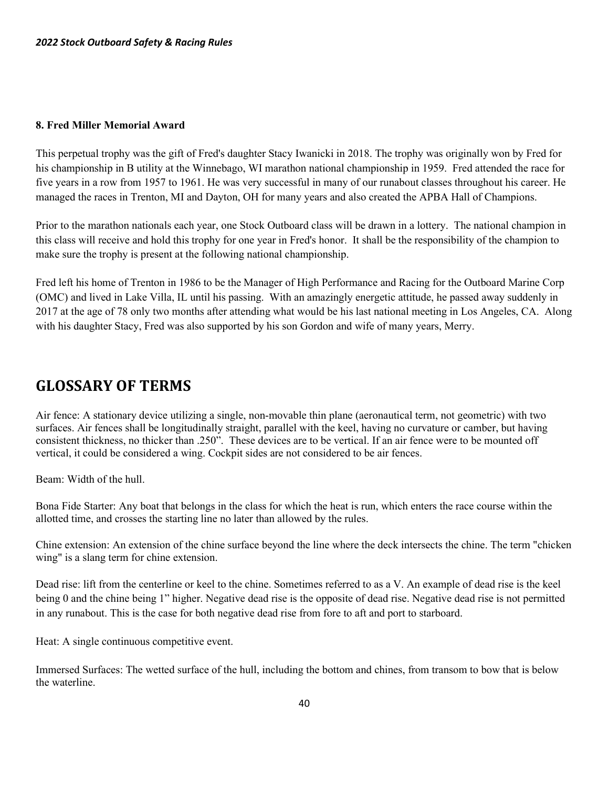#### **8. Fred Miller Memorial Award**

This perpetual trophy was the gift of Fred's daughter Stacy Iwanicki in 2018. The trophy was originally won by Fred for his championship in B utility at the Winnebago, WI marathon national championship in 1959. Fred attended the race for five years in a row from 1957 to 1961. He was very successful in many of our runabout classes throughout his career. He managed the races in Trenton, MI and Dayton, OH for many years and also created the APBA Hall of Champions.

Prior to the marathon nationals each year, one Stock Outboard class will be drawn in a lottery. The national champion in this class will receive and hold this trophy for one year in Fred's honor. It shall be the responsibility of the champion to make sure the trophy is present at the following national championship.

Fred left his home of Trenton in 1986 to be the Manager of High Performance and Racing for the Outboard Marine Corp (OMC) and lived in Lake Villa, IL until his passing. With an amazingly energetic attitude, he passed away suddenly in 2017 at the age of 78 only two months after attending what would be his last national meeting in Los Angeles, CA. Along with his daughter Stacy, Fred was also supported by his son Gordon and wife of many years, Merry.

## <span id="page-39-0"></span>**GLOSSARY OF TERMS**

Air fence: A stationary device utilizing a single, non-movable thin plane (aeronautical term, not geometric) with two surfaces. Air fences shall be longitudinally straight, parallel with the keel, having no curvature or camber, but having consistent thickness, no thicker than .250". These devices are to be vertical. If an air fence were to be mounted off vertical, it could be considered a wing. Cockpit sides are not considered to be air fences.

Beam: Width of the hull.

Bona Fide Starter: Any boat that belongs in the class for which the heat is run, which enters the race course within the allotted time, and crosses the starting line no later than allowed by the rules.

Chine extension: An extension of the chine surface beyond the line where the deck intersects the chine. The term "chicken wing" is a slang term for chine extension.

Dead rise: lift from the centerline or keel to the chine. Sometimes referred to as a V. An example of dead rise is the keel being 0 and the chine being 1" higher. Negative dead rise is the opposite of dead rise. Negative dead rise is not permitted in any runabout. This is the case for both negative dead rise from fore to aft and port to starboard.

Heat: A single continuous competitive event.

Immersed Surfaces: The wetted surface of the hull, including the bottom and chines, from transom to bow that is below the waterline.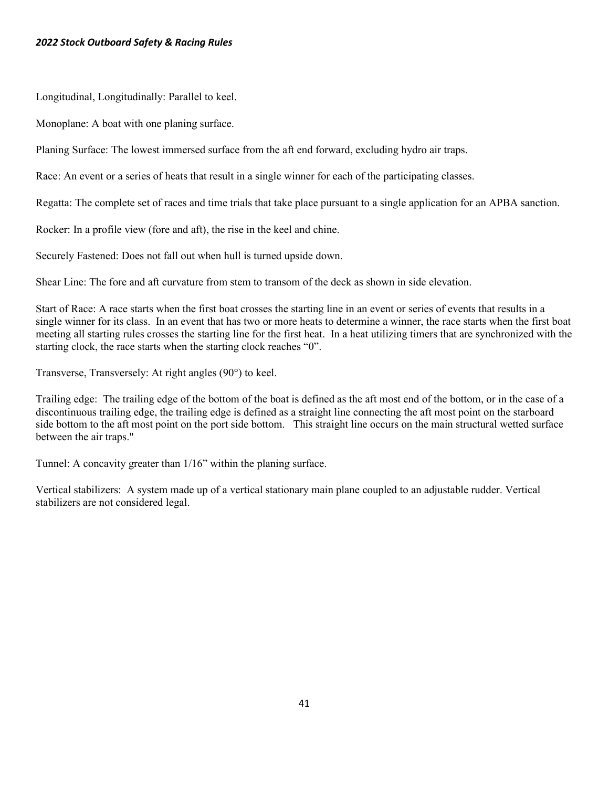#### *2022 Stock Outboard Safety & Racing Rules*

Longitudinal, Longitudinally: Parallel to keel.

Monoplane: A boat with one planing surface.

Planing Surface: The lowest immersed surface from the aft end forward, excluding hydro air traps.

Race: An event or a series of heats that result in a single winner for each of the participating classes.

Regatta: The complete set of races and time trials that take place pursuant to a single application for an APBA sanction.

Rocker: In a profile view (fore and aft), the rise in the keel and chine.

Securely Fastened: Does not fall out when hull is turned upside down.

Shear Line: The fore and aft curvature from stem to transom of the deck as shown in side elevation.

Start of Race: A race starts when the first boat crosses the starting line in an event or series of events that results in a single winner for its class. In an event that has two or more heats to determine a winner, the race starts when the first boat meeting all starting rules crosses the starting line for the first heat. In a heat utilizing timers that are synchronized with the starting clock, the race starts when the starting clock reaches "0".

Transverse, Transversely: At right angles (90°) to keel.

Trailing edge: The trailing edge of the bottom of the boat is defined as the aft most end of the bottom, or in the case of a discontinuous trailing edge, the trailing edge is defined as a straight line connecting the aft most point on the starboard side bottom to the aft most point on the port side bottom. This straight line occurs on the main structural wetted surface between the air traps."

Tunnel: A concavity greater than 1/16" within the planing surface.

Vertical stabilizers: A system made up of a vertical stationary main plane coupled to an adjustable rudder. Vertical stabilizers are not considered legal.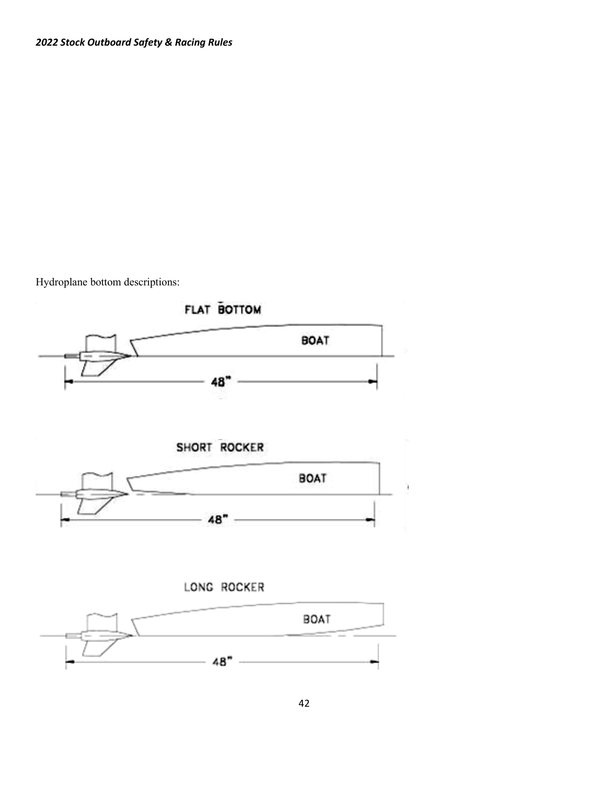Hydroplane bottom descriptions: